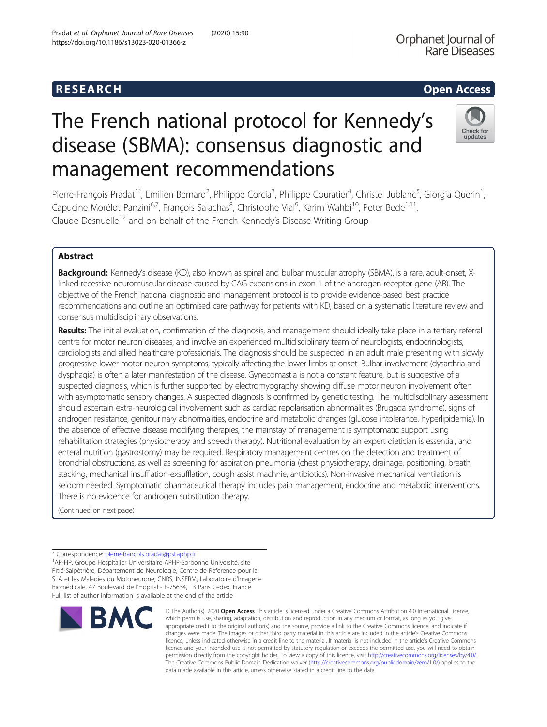# The French national protocol for Kennedy's disease (SBMA): consensus diagnostic and management recommendations



Pierre-François Pradat<sup>1\*</sup>, Emilien Bernard<sup>2</sup>, Philippe Corcia<sup>3</sup>, Philippe Couratier<sup>4</sup>, Christel Jublanc<sup>5</sup>, Giorgia Querin<sup>1</sup> , Capucine Morélot Panzini<sup>6,7</sup>, François Salachas<sup>8</sup>, Christophe Vial<sup>9</sup>, Karim Wahbi<sup>10</sup>, Peter Bede<sup>1,11</sup>, Claude Desnuelle<sup>12</sup> and on behalf of the French Kennedy's Disease Writing Group

# Abstract

Background: Kennedy's disease (KD), also known as spinal and bulbar muscular atrophy (SBMA), is a rare, adult-onset, Xlinked recessive neuromuscular disease caused by CAG expansions in exon 1 of the androgen receptor gene (AR). The objective of the French national diagnostic and management protocol is to provide evidence-based best practice recommendations and outline an optimised care pathway for patients with KD, based on a systematic literature review and consensus multidisciplinary observations.

Results: The initial evaluation, confirmation of the diagnosis, and management should ideally take place in a tertiary referral centre for motor neuron diseases, and involve an experienced multidisciplinary team of neurologists, endocrinologists, cardiologists and allied healthcare professionals. The diagnosis should be suspected in an adult male presenting with slowly progressive lower motor neuron symptoms, typically affecting the lower limbs at onset. Bulbar involvement (dysarthria and dysphagia) is often a later manifestation of the disease. Gynecomastia is not a constant feature, but is suggestive of a suspected diagnosis, which is further supported by electromyography showing diffuse motor neuron involvement often with asymptomatic sensory changes. A suspected diagnosis is confirmed by genetic testing. The multidisciplinary assessment should ascertain extra-neurological involvement such as cardiac repolarisation abnormalities (Brugada syndrome), signs of androgen resistance, genitourinary abnormalities, endocrine and metabolic changes (glucose intolerance, hyperlipidemia). In the absence of effective disease modifying therapies, the mainstay of management is symptomatic support using rehabilitation strategies (physiotherapy and speech therapy). Nutritional evaluation by an expert dietician is essential, and enteral nutrition (gastrostomy) may be required. Respiratory management centres on the detection and treatment of bronchial obstructions, as well as screening for aspiration pneumonia (chest physiotherapy, drainage, positioning, breath stacking, mechanical insufflation-exsufflation, cough assist machnie, antibiotics). Non-invasive mechanical ventilation is seldom needed. Symptomatic pharmaceutical therapy includes pain management, endocrine and metabolic interventions. There is no evidence for androgen substitution therapy.

(Continued on next page)

<sup>&</sup>lt;sup>1</sup>AP-HP, Groupe Hospitalier Universitaire APHP-Sorbonne Université, site Pitié-Salpêtrière, Département de Neurologie, Centre de Reference pour la SLA et les Maladies du Motoneurone, CNRS, INSERM, Laboratoire d'Imagerie Biomédicale, 47 Boulevard de l'Hôpital - F-75634, 13 Paris Cedex, France Full list of author information is available at the end of the article



© The Author(s), 2020 **Open Access** This article is licensed under a Creative Commons Attribution 4.0 International License, which permits use, sharing, adaptation, distribution and reproduction in any medium or format, as long as you give appropriate credit to the original author(s) and the source, provide a link to the Creative Commons licence, and indicate if changes were made. The images or other third party material in this article are included in the article's Creative Commons licence, unless indicated otherwise in a credit line to the material. If material is not included in the article's Creative Commons licence and your intended use is not permitted by statutory regulation or exceeds the permitted use, you will need to obtain permission directly from the copyright holder. To view a copy of this licence, visit [http://creativecommons.org/licenses/by/4.0/.](http://creativecommons.org/licenses/by/4.0/) The Creative Commons Public Domain Dedication waiver [\(http://creativecommons.org/publicdomain/zero/1.0/](http://creativecommons.org/publicdomain/zero/1.0/)) applies to the data made available in this article, unless otherwise stated in a credit line to the data.

<sup>\*</sup> Correspondence: [pierre-francois.pradat@psl.aphp.fr](mailto:pierre-francois.pradat@psl.aphp.fr) <sup>1</sup>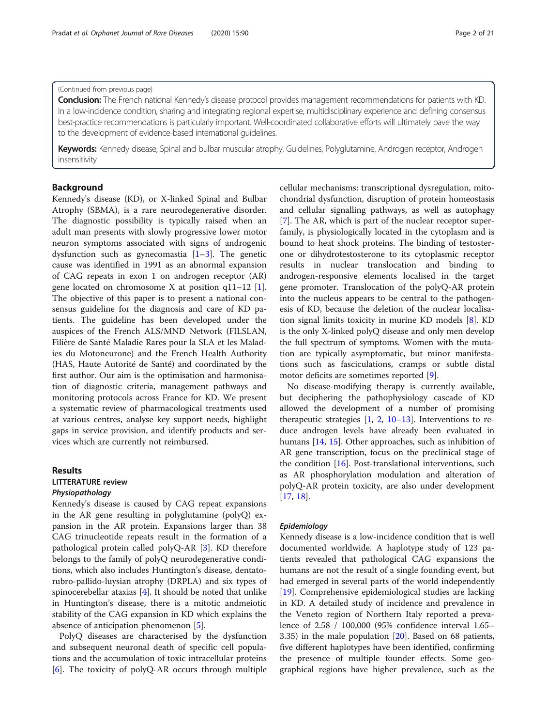(Continued from previous page)

Pradat et al. Orphanet Journal of Rare Diseases (2020) 15:90 Page 2 of 21 Page 2 of 21

Conclusion: The French national Kennedy's disease protocol provides management recommendations for patients with KD. In a low-incidence condition, sharing and integrating regional expertise, multidisciplinary experience and defining consensus best-practice recommendations is particularly important. Well-coordinated collaborative efforts will ultimately pave the way to the development of evidence-based international guidelines.

Keywords: Kennedy disease, Spinal and bulbar muscular atrophy, Guidelines, Polyglutamine, Androgen receptor, Androgen insensitivity

# Background

Kennedy's disease (KD), or X-linked Spinal and Bulbar Atrophy (SBMA), is a rare neurodegenerative disorder. The diagnostic possibility is typically raised when an adult man presents with slowly progressive lower motor neuron symptoms associated with signs of androgenic dysfunction such as gynecomastia  $[1-3]$  $[1-3]$  $[1-3]$  $[1-3]$  $[1-3]$ . The genetic cause was identified in 1991 as an abnormal expansion of CAG repeats in exon 1 on androgen receptor (AR) gene located on chromosome X at position  $q11-12$  [\[1](#page-17-0)]. The objective of this paper is to present a national consensus guideline for the diagnosis and care of KD patients. The guideline has been developed under the auspices of the French ALS/MND Network (FILSLAN, Filière de Santé Maladie Rares pour la SLA et les Maladies du Motoneurone) and the French Health Authority (HAS, Haute Autorité de Santé) and coordinated by the first author. Our aim is the optimisation and harmonisation of diagnostic criteria, management pathways and monitoring protocols across France for KD. We present a systematic review of pharmacological treatments used at various centres, analyse key support needs, highlight gaps in service provision, and identify products and services which are currently not reimbursed.

# Results

# LITTERATURE review

# Physiopathology

Kennedy's disease is caused by CAG repeat expansions in the AR gene resulting in polyglutamine (polyQ) expansion in the AR protein. Expansions larger than 38 CAG trinucleotide repeats result in the formation of a pathological protein called polyQ-AR [\[3\]](#page-17-0). KD therefore belongs to the family of polyQ neurodegenerative conditions, which also includes Huntington's disease, dentatorubro-pallido-luysian atrophy (DRPLA) and six types of spinocerebellar ataxias  $[4]$  $[4]$ . It should be noted that unlike in Huntington's disease, there is a mitotic andmeiotic stability of the CAG expansion in KD which explains the absence of anticipation phenomenon [[5\]](#page-17-0).

PolyQ diseases are characterised by the dysfunction and subsequent neuronal death of specific cell populations and the accumulation of toxic intracellular proteins [[6\]](#page-17-0). The toxicity of polyQ-AR occurs through multiple

cellular mechanisms: transcriptional dysregulation, mitochondrial dysfunction, disruption of protein homeostasis and cellular signalling pathways, as well as autophagy [[7\]](#page-17-0). The AR, which is part of the nuclear receptor superfamily, is physiologically located in the cytoplasm and is bound to heat shock proteins. The binding of testosterone or dihydrotestosterone to its cytoplasmic receptor results in nuclear translocation and binding to androgen-responsive elements localised in the target gene promoter. Translocation of the polyQ-AR protein into the nucleus appears to be central to the pathogenesis of KD, because the deletion of the nuclear localisation signal limits toxicity in murine KD models [[8\]](#page-17-0). KD is the only X-linked polyQ disease and only men develop the full spectrum of symptoms. Women with the mutation are typically asymptomatic, but minor manifestations such as fasciculations, cramps or subtle distal motor deficits are sometimes reported [[9\]](#page-17-0).

No disease-modifying therapy is currently available, but deciphering the pathophysiology cascade of KD allowed the development of a number of promising therapeutic strategies  $[1, 2, 10-13]$  $[1, 2, 10-13]$  $[1, 2, 10-13]$  $[1, 2, 10-13]$  $[1, 2, 10-13]$  $[1, 2, 10-13]$  $[1, 2, 10-13]$  $[1, 2, 10-13]$  $[1, 2, 10-13]$ . Interventions to reduce androgen levels have already been evaluated in humans [\[14](#page-17-0), [15](#page-17-0)]. Other approaches, such as inhibition of AR gene transcription, focus on the preclinical stage of the condition [[16](#page-17-0)]. Post-translational interventions, such as AR phosphorylation modulation and alteration of polyQ-AR protein toxicity, are also under development [[17,](#page-17-0) [18\]](#page-17-0).

#### Epidemiology

Kennedy disease is a low-incidence condition that is well documented worldwide. A haplotype study of 123 patients revealed that pathological CAG expansions the humans are not the result of a single founding event, but had emerged in several parts of the world independently [[19\]](#page-17-0). Comprehensive epidemiological studies are lacking in KD. A detailed study of incidence and prevalence in the Veneto region of Northern Italy reported a prevalence of 2.58 / 100,000 (95% confidence interval 1.65– 3.35) in the male population [[20](#page-17-0)]. Based on 68 patients, five different haplotypes have been identified, confirming the presence of multiple founder effects. Some geographical regions have higher prevalence, such as the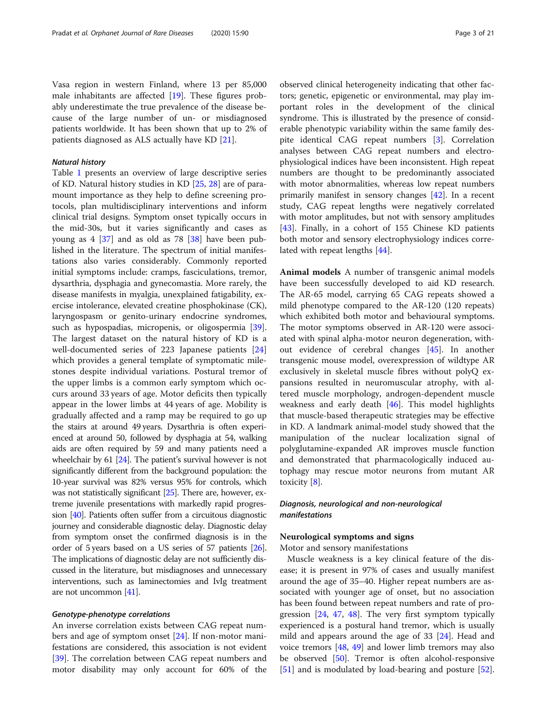#### Natural history

Table [1](#page-3-0) presents an overview of large descriptive series of KD. Natural history studies in KD [\[25](#page-18-0), [28](#page-18-0)] are of paramount importance as they help to define screening protocols, plan multidisciplinary interventions and inform clinical trial designs. Symptom onset typically occurs in the mid-30s, but it varies significantly and cases as young as  $4 \times 37$  and as old as 78  $\times 38$  have been published in the literature. The spectrum of initial manifestations also varies considerably. Commonly reported initial symptoms include: cramps, fasciculations, tremor, dysarthria, dysphagia and gynecomastia. More rarely, the disease manifests in myalgia, unexplained fatigability, exercise intolerance, elevated creatine phosphokinase (CK), laryngospasm or genito-urinary endocrine syndromes, such as hypospadias, micropenis, or oligospermia [\[39](#page-18-0)]. The largest dataset on the natural history of KD is a well-documented series of 223 Japanese patients [[24](#page-17-0)] which provides a general template of symptomatic milestones despite individual variations. Postural tremor of the upper limbs is a common early symptom which occurs around 33 years of age. Motor deficits then typically appear in the lower limbs at 44 years of age. Mobility is gradually affected and a ramp may be required to go up the stairs at around 49 years. Dysarthria is often experienced at around 50, followed by dysphagia at 54, walking aids are often required by 59 and many patients need a wheelchair by 61 [\[24](#page-17-0)]. The patient's survival however is not significantly different from the background population: the 10-year survival was 82% versus 95% for controls, which was not statistically significant [[25\]](#page-18-0). There are, however, extreme juvenile presentations with markedly rapid progression [\[40\]](#page-18-0). Patients often suffer from a circuitous diagnostic journey and considerable diagnostic delay. Diagnostic delay from symptom onset the confirmed diagnosis is in the order of 5 years based on a US series of 57 patients [\[26](#page-18-0)]. The implications of diagnostic delay are not sufficiently discussed in the literature, but misdiagnoses and unnecessary interventions, such as laminectomies and IvIg treatment are not uncommon [\[41\]](#page-18-0).

#### Genotype-phenotype correlations

An inverse correlation exists between CAG repeat numbers and age of symptom onset [\[24](#page-17-0)]. If non-motor manifestations are considered, this association is not evident [[39\]](#page-18-0). The correlation between CAG repeat numbers and motor disability may only account for 60% of the

observed clinical heterogeneity indicating that other factors; genetic, epigenetic or environmental, may play important roles in the development of the clinical syndrome. This is illustrated by the presence of considerable phenotypic variability within the same family des-pite identical CAG repeat numbers [[3\]](#page-17-0). Correlation analyses between CAG repeat numbers and electrophysiological indices have been inconsistent. High repeat numbers are thought to be predominantly associated with motor abnormalities, whereas low repeat numbers primarily manifest in sensory changes [\[42\]](#page-18-0). In a recent study, CAG repeat lengths were negatively correlated with motor amplitudes, but not with sensory amplitudes [[43\]](#page-18-0). Finally, in a cohort of 155 Chinese KD patients both motor and sensory electrophysiology indices correlated with repeat lengths [[44\]](#page-18-0).

Animal models A number of transgenic animal models have been successfully developed to aid KD research. The AR-65 model, carrying 65 CAG repeats showed a mild phenotype compared to the AR-120 (120 repeats) which exhibited both motor and behavioural symptoms. The motor symptoms observed in AR-120 were associated with spinal alpha-motor neuron degeneration, without evidence of cerebral changes [[45\]](#page-18-0). In another transgenic mouse model, overexpression of wildtype AR exclusively in skeletal muscle fibres without polyQ expansions resulted in neuromuscular atrophy, with altered muscle morphology, androgen-dependent muscle weakness and early death [[46\]](#page-18-0). This model highlights that muscle-based therapeutic strategies may be effective in KD. A landmark animal-model study showed that the manipulation of the nuclear localization signal of polyglutamine-expanded AR improves muscle function and demonstrated that pharmacologically induced autophagy may rescue motor neurons from mutant AR toxicity [[8\]](#page-17-0).

### Diagnosis, neurological and non-neurological manifestations

#### Neurological symptoms and signs

Motor and sensory manifestations

Muscle weakness is a key clinical feature of the disease; it is present in 97% of cases and usually manifest around the age of 35–40. Higher repeat numbers are associated with younger age of onset, but no association has been found between repeat numbers and rate of progression [[24,](#page-17-0) [47](#page-18-0), [48](#page-18-0)]. The very first symptom typically experienced is a postural hand tremor, which is usually mild and appears around the age of 33 [[24](#page-17-0)]. Head and voice tremors [[48,](#page-18-0) [49](#page-18-0)] and lower limb tremors may also be observed [\[50](#page-18-0)]. Tremor is often alcohol-responsive [[51\]](#page-18-0) and is modulated by load-bearing and posture [\[52](#page-18-0)].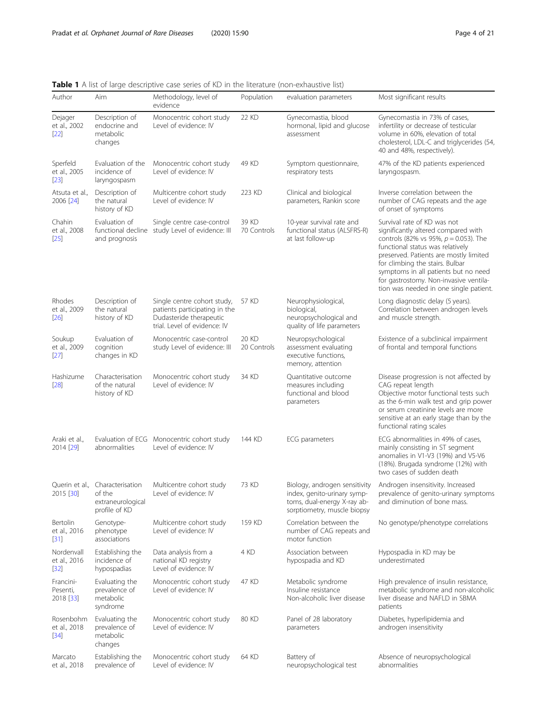<span id="page-3-0"></span>Table 1 A list of large descriptive case series of KD in the literature (non-exhaustive list)

| Author                               | Aim                                                              | Methodology, level of<br>evidence                                                                                       | Population           | evaluation parameters                                                                                                      | Most significant results                                                                                                                                                                                                                                                                                                                                    |
|--------------------------------------|------------------------------------------------------------------|-------------------------------------------------------------------------------------------------------------------------|----------------------|----------------------------------------------------------------------------------------------------------------------------|-------------------------------------------------------------------------------------------------------------------------------------------------------------------------------------------------------------------------------------------------------------------------------------------------------------------------------------------------------------|
| Dejager<br>et al., 2002<br>$[22]$    | Description of<br>endocrine and<br>metabolic<br>changes          | Monocentric cohort study<br>Level of evidence: IV                                                                       | 22 KD                | Gynecomastia, blood<br>hormonal, lipid and glucose<br>assessment                                                           | Gynecomastia in 73% of cases,<br>infertility or decrease of testicular<br>volume in 60%, elevation of total<br>cholesterol, LDL-C and triglycerides (54,<br>40 and 48%, respectively).                                                                                                                                                                      |
| Sperfeld<br>et al., 2005<br>$[23]$   | Evaluation of the<br>incidence of<br>laryngospasm                | Monocentric cohort study<br>Level of evidence: IV                                                                       | 49 KD                | Symptom questionnaire,<br>respiratory tests                                                                                | 47% of the KD patients experienced<br>laryngospasm.                                                                                                                                                                                                                                                                                                         |
| Atsuta et al.,<br>2006 [24]          | Description of<br>the natural<br>history of KD                   | Multicentre cohort study<br>Level of evidence: IV                                                                       | 223 KD               | Clinical and biological<br>parameters, Rankin score                                                                        | Inverse correlation between the<br>number of CAG repeats and the age<br>of onset of symptoms                                                                                                                                                                                                                                                                |
| Chahin<br>et al., 2008<br>$[25]$     | Evaluation of<br>and prognosis                                   | Single centre case-control<br>functional decline study Level of evidence: III                                           | 39 KD<br>70 Controls | 10-year survival rate and<br>functional status (ALSFRS-R)<br>at last follow-up                                             | Survival rate of KD was not<br>significantly altered compared with<br>controls (82% vs 95%, $p = 0.053$ ). The<br>functional status was relatively<br>preserved. Patients are mostly limited<br>for climbing the stairs. Bulbar<br>symptoms in all patients but no need<br>for gastrostomy. Non-invasive ventila-<br>tion was needed in one single patient. |
| Rhodes<br>et al., 2009<br>[26]       | Description of<br>the natural<br>history of KD                   | Single centre cohort study,<br>patients participating in the<br>Dudasteride therapeutic<br>trial. Level of evidence: IV | 57 KD                | Neurophysiological,<br>biological,<br>neuropsychological and<br>quality of life parameters                                 | Long diagnostic delay (5 years).<br>Correlation between androgen levels<br>and muscle strength.                                                                                                                                                                                                                                                             |
| Soukup<br>et al., 2009<br>$[27]$     | Evaluation of<br>cognition<br>changes in KD                      | Monocentric case-control<br>study Level of evidence: III                                                                | 20 KD<br>20 Controls | Neuropsychological<br>assessment evaluating<br>executive functions,<br>memory, attention                                   | Existence of a subclinical impairment<br>of frontal and temporal functions                                                                                                                                                                                                                                                                                  |
| Hashizume<br>$[28]$                  | Characterisation<br>of the natural<br>history of KD              | Monocentric cohort study<br>Level of evidence: IV                                                                       | 34 KD                | Quantitative outcome<br>measures including<br>functional and blood<br>parameters                                           | Disease progression is not affected by<br>CAG repeat length<br>Objective motor functional tests such<br>as the 6-min walk test and grip power<br>or serum creatinine levels are more<br>sensitive at an early stage than by the<br>functional rating scales                                                                                                 |
| Araki et al.,<br>2014 [29]           | abnormalities                                                    | Evaluation of ECG Monocentric cohort study<br>Level of evidence: IV                                                     | 144 KD               | ECG parameters                                                                                                             | ECG abnormalities in 49% of cases,<br>mainly consisting in ST segment<br>anomalies in V1-V3 (19%) and V5-V6<br>(18%). Brugada syndrome (12%) with<br>two cases of sudden death                                                                                                                                                                              |
| Querin et al.,<br>2015 [30]          | Characterisation<br>of the<br>extraneurological<br>profile of KD | Multicentre cohort study<br>Level of evidence: IV                                                                       | 73 KD                | Biology, androgen sensitivity<br>index, genito-urinary symp-<br>toms, dual-energy X-ray ab-<br>sorptiometry, muscle biopsy | Androgen insensitivity. Increased<br>prevalence of genito-urinary symptoms<br>and diminution of bone mass.                                                                                                                                                                                                                                                  |
| Bertolin<br>et al., 2016<br>$[31]$   | Genotype-<br>phenotype<br>associations                           | Multicentre cohort study<br>Level of evidence: IV                                                                       | 159 KD               | Correlation between the<br>number of CAG repeats and<br>motor function                                                     | No genotype/phenotype correlations                                                                                                                                                                                                                                                                                                                          |
| Nordenvall<br>et al., 2016<br>$[32]$ | Establishing the<br>incidence of<br>hypospadias                  | Data analysis from a<br>national KD registry<br>Level of evidence: IV                                                   | 4 KD                 | Association between<br>hypospadia and KD                                                                                   | Hypospadia in KD may be<br>underestimated                                                                                                                                                                                                                                                                                                                   |
| Francini-<br>Pesenti,<br>2018 [33]   | Evaluating the<br>prevalence of<br>metabolic<br>syndrome         | Monocentric cohort study<br>Level of evidence: IV                                                                       | 47 KD                | Metabolic syndrome<br>Insuline resistance<br>Non-alcoholic liver disease                                                   | High prevalence of insulin resistance,<br>metabolic syndrome and non-alcoholic<br>liver disease and NAFLD in SBMA<br>patients                                                                                                                                                                                                                               |
| Rosenbohm<br>et al., 2018<br>$[34]$  | Evaluating the<br>prevalence of<br>metabolic<br>changes          | Monocentric cohort study<br>Level of evidence: IV                                                                       | 80 KD                | Panel of 28 laboratory<br>parameters                                                                                       | Diabetes, hyperlipidemia and<br>androgen insensitivity                                                                                                                                                                                                                                                                                                      |
| Marcato<br>et al., 2018              | Establishing the<br>prevalence of                                | Monocentric cohort study<br>Level of evidence: IV                                                                       | 64 KD                | Battery of<br>neuropsychological test                                                                                      | Absence of neuropsychological<br>abnormalities                                                                                                                                                                                                                                                                                                              |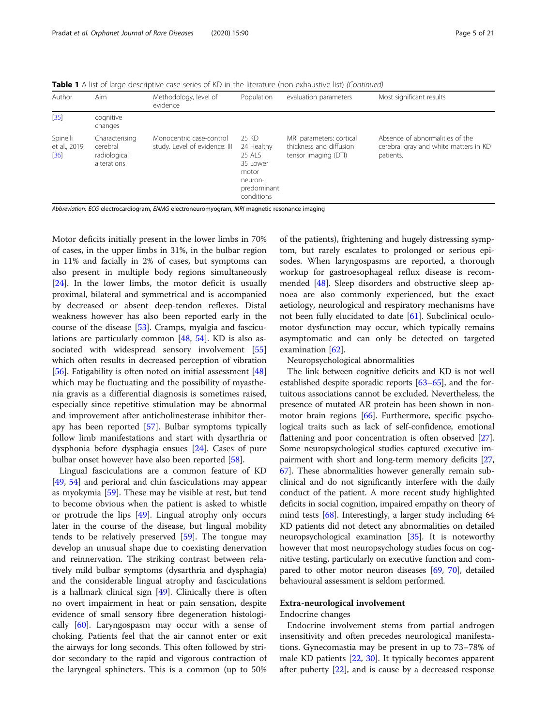**Table 1** A list of large descriptive case series of KD in the literature (non-exhaustive list) (Continued)

| Author                           | Aim                                                       | Methodology, level of<br>evidence                         | Population                                                                                 | evaluation parameters                                                       | Most significant results                                                              |
|----------------------------------|-----------------------------------------------------------|-----------------------------------------------------------|--------------------------------------------------------------------------------------------|-----------------------------------------------------------------------------|---------------------------------------------------------------------------------------|
| $[35]$                           | cognitive<br>changes                                      |                                                           |                                                                                            |                                                                             |                                                                                       |
| Spinelli<br>et al., 2019<br>[36] | Characterising<br>cerebral<br>radiological<br>alterations | Monocentric case-control<br>study. Level of evidence: III | 25 KD<br>24 Healthy<br>25 ALS<br>35 Lower<br>motor<br>neuron-<br>predominant<br>conditions | MRI parameters: cortical<br>thickness and diffusion<br>tensor imaging (DTI) | Absence of abnormalities of the<br>cerebral gray and white matters in KD<br>patients. |

Abbreviation: ECG electrocardiogram, ENMG electroneuromyogram, MRI magnetic resonance imaging

Motor deficits initially present in the lower limbs in 70% of cases, in the upper limbs in 31%, in the bulbar region in 11% and facially in 2% of cases, but symptoms can also present in multiple body regions simultaneously [[24\]](#page-17-0). In the lower limbs, the motor deficit is usually proximal, bilateral and symmetrical and is accompanied by decreased or absent deep-tendon reflexes. Distal weakness however has also been reported early in the course of the disease [[53\]](#page-18-0). Cramps, myalgia and fasciculations are particularly common [\[48,](#page-18-0) [54\]](#page-18-0). KD is also associated with widespread sensory involvement [[55](#page-18-0)] which often results in decreased perception of vibration [[56\]](#page-18-0). Fatigability is often noted on initial assessment  $[48]$  $[48]$  $[48]$ ] which may be fluctuating and the possibility of myasthenia gravis as a differential diagnosis is sometimes raised, especially since repetitive stimulation may be abnormal and improvement after anticholinesterase inhibitor therapy has been reported [[57](#page-18-0)]. Bulbar symptoms typically follow limb manifestations and start with dysarthria or dysphonia before dysphagia ensues [\[24\]](#page-17-0). Cases of pure bulbar onset however have also been reported [\[58](#page-18-0)].

Lingual fasciculations are a common feature of KD [[49,](#page-18-0) [54](#page-18-0)] and perioral and chin fasciculations may appear as myokymia [[59](#page-18-0)]. These may be visible at rest, but tend to become obvious when the patient is asked to whistle or protrude the lips [\[49](#page-18-0)]. Lingual atrophy only occurs later in the course of the disease, but lingual mobility tends to be relatively preserved [[59](#page-18-0)]. The tongue may develop an unusual shape due to coexisting denervation and reinnervation. The striking contrast between relatively mild bulbar symptoms (dysarthria and dysphagia) and the considerable lingual atrophy and fasciculations is a hallmark clinical sign  $[49]$  $[49]$  $[49]$ . Clinically there is often no overt impairment in heat or pain sensation, despite evidence of small sensory fibre degeneration histologically [[60\]](#page-18-0). Laryngospasm may occur with a sense of choking. Patients feel that the air cannot enter or exit the airways for long seconds. This often followed by stridor secondary to the rapid and vigorous contraction of the laryngeal sphincters. This is a common (up to 50%

of the patients), frightening and hugely distressing symptom, but rarely escalates to prolonged or serious episodes. When laryngospasms are reported, a thorough workup for gastroesophageal reflux disease is recommended [[48\]](#page-18-0). Sleep disorders and obstructive sleep apnoea are also commonly experienced, but the exact aetiology, neurological and respiratory mechanisms have not been fully elucidated to date [\[61](#page-18-0)]. Subclinical oculomotor dysfunction may occur, which typically remains asymptomatic and can only be detected on targeted examination [\[62](#page-18-0)].

#### Neuropsychological abnormalities

The link between cognitive deficits and KD is not well established despite sporadic reports [[63](#page-18-0)–[65\]](#page-18-0), and the fortuitous associations cannot be excluded. Nevertheless, the presence of mutated AR protein has been shown in nonmotor brain regions [\[66\]](#page-18-0). Furthermore, specific psychological traits such as lack of self-confidence, emotional flattening and poor concentration is often observed [[27](#page-18-0)]. Some neuropsychological studies captured executive impairment with short and long-term memory deficits [[27](#page-18-0), [67](#page-19-0)]. These abnormalities however generally remain subclinical and do not significantly interfere with the daily conduct of the patient. A more recent study highlighted deficits in social cognition, impaired empathy on theory of mind tests [\[68\]](#page-19-0). Interestingly, a larger study including 64 KD patients did not detect any abnormalities on detailed neuropsychological examination [[35](#page-18-0)]. It is noteworthy however that most neuropsychology studies focus on cognitive testing, particularly on executive function and compared to other motor neuron diseases [[69](#page-19-0), [70\]](#page-19-0), detailed behavioural assessment is seldom performed.

#### Extra-neurological involvement

#### Endocrine changes

Endocrine involvement stems from partial androgen insensitivity and often precedes neurological manifestations. Gynecomastia may be present in up to 73–78% of male KD patients [\[22](#page-17-0), [30](#page-18-0)]. It typically becomes apparent after puberty [[22\]](#page-17-0), and is cause by a decreased response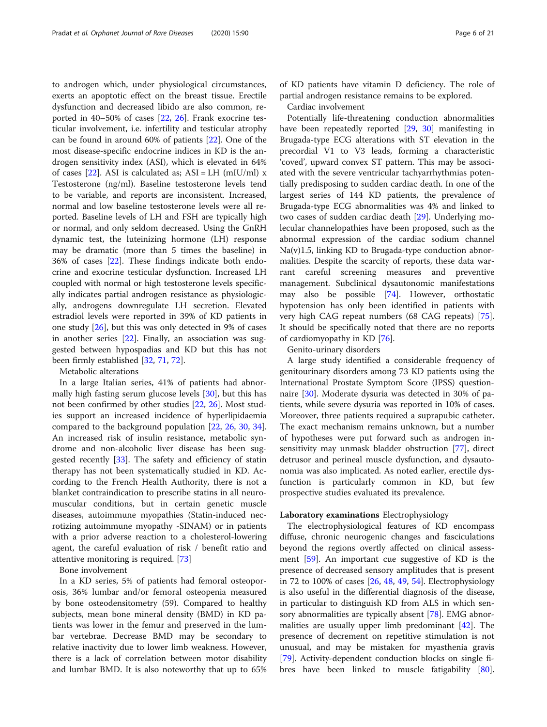to androgen which, under physiological circumstances, exerts an apoptotic effect on the breast tissue. Erectile dysfunction and decreased libido are also common, reported in 40–50% of cases [[22,](#page-17-0) [26\]](#page-18-0). Frank exocrine testicular involvement, i.e. infertility and testicular atrophy can be found in around 60% of patients [\[22](#page-17-0)]. One of the most disease-specific endocrine indices in KD is the androgen sensitivity index (ASI), which is elevated in 64% of cases  $[22]$  $[22]$ . ASI is calculated as; ASI = LH (mIU/ml) x Testosterone (ng/ml). Baseline testosterone levels tend to be variable, and reports are inconsistent. Increased, normal and low baseline testosterone levels were all reported. Baseline levels of LH and FSH are typically high or normal, and only seldom decreased. Using the GnRH dynamic test, the luteinizing hormone (LH) response may be dramatic (more than 5 times the baseline) in 36% of cases [[22\]](#page-17-0). These findings indicate both endocrine and exocrine testicular dysfunction. Increased LH coupled with normal or high testosterone levels specifically indicates partial androgen resistance as physiologically, androgens downregulate LH secretion. Elevated estradiol levels were reported in 39% of KD patients in one study [[26\]](#page-18-0), but this was only detected in 9% of cases in another series  $[22]$  $[22]$ . Finally, an association was suggested between hypospadias and KD but this has not been firmly established [[32,](#page-18-0) [71,](#page-19-0) [72\]](#page-19-0).

Metabolic alterations

In a large Italian series, 41% of patients had abnormally high fasting serum glucose levels [[30\]](#page-18-0), but this has not been confirmed by other studies [\[22](#page-17-0), [26\]](#page-18-0). Most studies support an increased incidence of hyperlipidaemia compared to the background population [[22,](#page-17-0) [26,](#page-18-0) [30](#page-18-0), [34](#page-18-0)]. An increased risk of insulin resistance, metabolic syndrome and non-alcoholic liver disease has been suggested recently [[33](#page-18-0)]. The safety and efficiency of statin therapy has not been systematically studied in KD. According to the French Health Authority, there is not a blanket contraindication to prescribe statins in all neuromuscular conditions, but in certain genetic muscle diseases, autoimmune myopathies (Statin-induced necrotizing autoimmune myopathy -SINAM) or in patients with a prior adverse reaction to a cholesterol-lowering agent, the careful evaluation of risk / benefit ratio and attentive monitoring is required. [[73](#page-19-0)]

Bone involvement

In a KD series, 5% of patients had femoral osteoporosis, 36% lumbar and/or femoral osteopenia measured by bone osteodensitometry (59). Compared to healthy subjects, mean bone mineral density (BMD) in KD patients was lower in the femur and preserved in the lumbar vertebrae. Decrease BMD may be secondary to relative inactivity due to lower limb weakness. However, there is a lack of correlation between motor disability and lumbar BMD. It is also noteworthy that up to 65% of KD patients have vitamin D deficiency. The role of partial androgen resistance remains to be explored.

Cardiac involvement

Potentially life-threatening conduction abnormalities have been repeatedly reported [[29,](#page-18-0) [30\]](#page-18-0) manifesting in Brugada-type ECG alterations with ST elevation in the precordial V1 to V3 leads, forming a characteristic 'coved', upward convex ST pattern. This may be associated with the severe ventricular tachyarrhythmias potentially predisposing to sudden cardiac death. In one of the largest series of 144 KD patients, the prevalence of Brugada-type ECG abnormalities was 4% and linked to two cases of sudden cardiac death [[29\]](#page-18-0). Underlying molecular channelopathies have been proposed, such as the abnormal expression of the cardiac sodium channel Na(v)1.5, linking KD to Brugada-type conduction abnormalities. Despite the scarcity of reports, these data warrant careful screening measures and preventive management. Subclinical dysautonomic manifestations may also be possible [[74](#page-19-0)]. However, orthostatic hypotension has only been identified in patients with very high CAG repeat numbers (68 CAG repeats) [\[75](#page-19-0)]. It should be specifically noted that there are no reports of cardiomyopathy in KD [[76\]](#page-19-0).

Genito-urinary disorders

A large study identified a considerable frequency of genitourinary disorders among 73 KD patients using the International Prostate Symptom Score (IPSS) questionnaire [[30\]](#page-18-0). Moderate dysuria was detected in 30% of patients, while severe dysuria was reported in 10% of cases. Moreover, three patients required a suprapubic catheter. The exact mechanism remains unknown, but a number of hypotheses were put forward such as androgen insensitivity may unmask bladder obstruction [[77\]](#page-19-0), direct detrusor and perineal muscle dysfunction, and dysautonomia was also implicated. As noted earlier, erectile dysfunction is particularly common in KD, but few prospective studies evaluated its prevalence.

#### Laboratory examinations Electrophysiology

The electrophysiological features of KD encompass diffuse, chronic neurogenic changes and fasciculations beyond the regions overtly affected on clinical assessment [\[59\]](#page-18-0). An important cue suggestive of KD is the presence of decreased sensory amplitudes that is present in 72 to 100% of cases [\[26,](#page-18-0) [48,](#page-18-0) [49](#page-18-0), [54](#page-18-0)]. Electrophysiology is also useful in the differential diagnosis of the disease, in particular to distinguish KD from ALS in which sensory abnormalities are typically absent [\[78\]](#page-19-0). EMG abnormalities are usually upper limb predominant [[42](#page-18-0)]. The presence of decrement on repetitive stimulation is not unusual, and may be mistaken for myasthenia gravis [[79\]](#page-19-0). Activity-dependent conduction blocks on single fibres have been linked to muscle fatigability [\[80](#page-19-0)].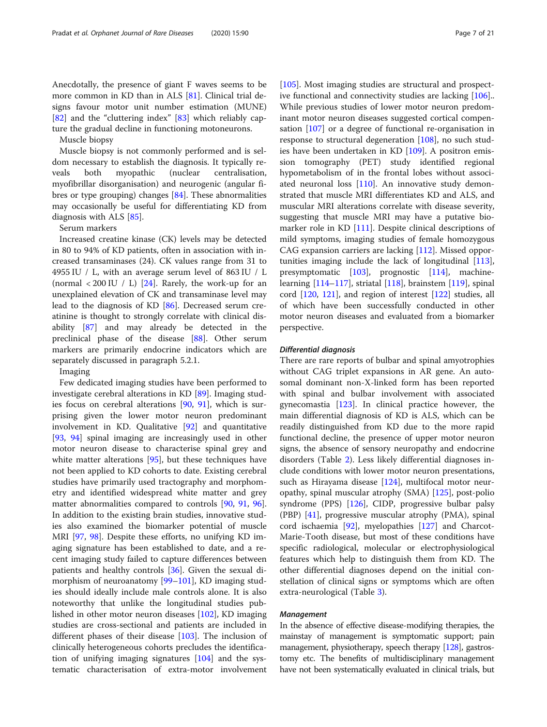Anecdotally, the presence of giant F waves seems to be more common in KD than in ALS [\[81](#page-19-0)]. Clinical trial designs favour motor unit number estimation (MUNE) [[82\]](#page-19-0) and the "cluttering index" [\[83](#page-19-0)] which reliably capture the gradual decline in functioning motoneurons.

Muscle biopsy

Muscle biopsy is not commonly performed and is seldom necessary to establish the diagnosis. It typically reveals both myopathic (nuclear centralisation, myofibrillar disorganisation) and neurogenic (angular fibres or type grouping) changes [[84\]](#page-19-0). These abnormalities may occasionally be useful for differentiating KD from diagnosis with ALS [[85](#page-19-0)].

#### Serum markers

Increased creatine kinase (CK) levels may be detected in 80 to 94% of KD patients, often in association with increased transaminases (24). CK values range from 31 to 4955 IU / L, with an average serum level of 863 IU / L (normal  $\langle 200 \text{ IU} / \text{ L} \rangle$  [[24\]](#page-17-0). Rarely, the work-up for an unexplained elevation of CK and transaminase level may lead to the diagnosis of KD [\[86](#page-19-0)]. Decreased serum creatinine is thought to strongly correlate with clinical disability [\[87\]](#page-19-0) and may already be detected in the preclinical phase of the disease [\[88\]](#page-19-0). Other serum markers are primarily endocrine indicators which are separately discussed in paragraph 5.2.1.

Imaging

Few dedicated imaging studies have been performed to investigate cerebral alterations in KD [\[89\]](#page-19-0). Imaging studies focus on cerebral alterations [\[90](#page-19-0), [91](#page-19-0)], which is surprising given the lower motor neuron predominant involvement in KD. Qualitative [\[92](#page-19-0)] and quantitative [[93,](#page-19-0) [94\]](#page-19-0) spinal imaging are increasingly used in other motor neuron disease to characterise spinal grey and white matter alterations [\[95\]](#page-19-0), but these techniques have not been applied to KD cohorts to date. Existing cerebral studies have primarily used tractography and morphometry and identified widespread white matter and grey matter abnormalities compared to controls [[90,](#page-19-0) [91](#page-19-0), [96](#page-19-0)]. In addition to the existing brain studies, innovative studies also examined the biomarker potential of muscle MRI [\[97,](#page-19-0) [98\]](#page-19-0). Despite these efforts, no unifying KD imaging signature has been established to date, and a recent imaging study failed to capture differences between patients and healthy controls [[36\]](#page-18-0). Given the sexual dimorphism of neuroanatomy [\[99](#page-19-0)–[101\]](#page-19-0), KD imaging studies should ideally include male controls alone. It is also noteworthy that unlike the longitudinal studies published in other motor neuron diseases [\[102](#page-19-0)], KD imaging studies are cross-sectional and patients are included in different phases of their disease [\[103\]](#page-19-0). The inclusion of clinically heterogeneous cohorts precludes the identification of unifying imaging signatures [[104\]](#page-19-0) and the systematic characterisation of extra-motor involvement [[105\]](#page-19-0). Most imaging studies are structural and prospective functional and connectivity studies are lacking [\[106](#page-19-0)].. While previous studies of lower motor neuron predominant motor neuron diseases suggested cortical compensation [[107\]](#page-19-0) or a degree of functional re-organisation in response to structural degeneration [[108\]](#page-20-0), no such studies have been undertaken in KD [[109\]](#page-20-0). A positron emission tomography (PET) study identified regional hypometabolism of in the frontal lobes without associated neuronal loss [\[110\]](#page-20-0). An innovative study demonstrated that muscle MRI differentiates KD and ALS, and muscular MRI alterations correlate with disease severity, suggesting that muscle MRI may have a putative bio-marker role in KD [\[111\]](#page-20-0). Despite clinical descriptions of mild symptoms, imaging studies of female homozygous CAG expansion carriers are lacking [\[112\]](#page-20-0). Missed opportunities imaging include the lack of longitudinal [[113](#page-20-0)], presymptomatic [[103](#page-19-0)], prognostic [\[114\]](#page-20-0), machinelearning [\[114](#page-20-0)–[117](#page-20-0)], striatal [[118](#page-20-0)], brainstem [[119](#page-20-0)], spinal cord [\[120,](#page-20-0) [121\]](#page-20-0), and region of interest [\[122\]](#page-20-0) studies, all of which have been successfully conducted in other motor neuron diseases and evaluated from a biomarker perspective.

#### Differential diagnosis

There are rare reports of bulbar and spinal amyotrophies without CAG triplet expansions in AR gene. An autosomal dominant non-X-linked form has been reported with spinal and bulbar involvement with associated gynecomastia [[123\]](#page-20-0). In clinical practice however, the main differential diagnosis of KD is ALS, which can be readily distinguished from KD due to the more rapid functional decline, the presence of upper motor neuron signs, the absence of sensory neuropathy and endocrine disorders (Table [2\)](#page-7-0). Less likely differential diagnoses include conditions with lower motor neuron presentations, such as Hirayama disease [\[124](#page-20-0)], multifocal motor neuropathy, spinal muscular atrophy (SMA) [[125\]](#page-20-0), post-polio syndrome (PPS) [[126\]](#page-20-0), CIDP, progressive bulbar palsy (PBP) [\[41\]](#page-18-0), progressive muscular atrophy (PMA), spinal cord ischaemia [[92\]](#page-19-0), myelopathies [[127\]](#page-20-0) and Charcot-Marie-Tooth disease, but most of these conditions have specific radiological, molecular or electrophysiological features which help to distinguish them from KD. The other differential diagnoses depend on the initial constellation of clinical signs or symptoms which are often extra-neurological (Table [3\)](#page-8-0).

#### Management

In the absence of effective disease-modifying therapies, the mainstay of management is symptomatic support; pain management, physiotherapy, speech therapy [\[128\]](#page-20-0), gastrostomy etc. The benefits of multidisciplinary management have not been systematically evaluated in clinical trials, but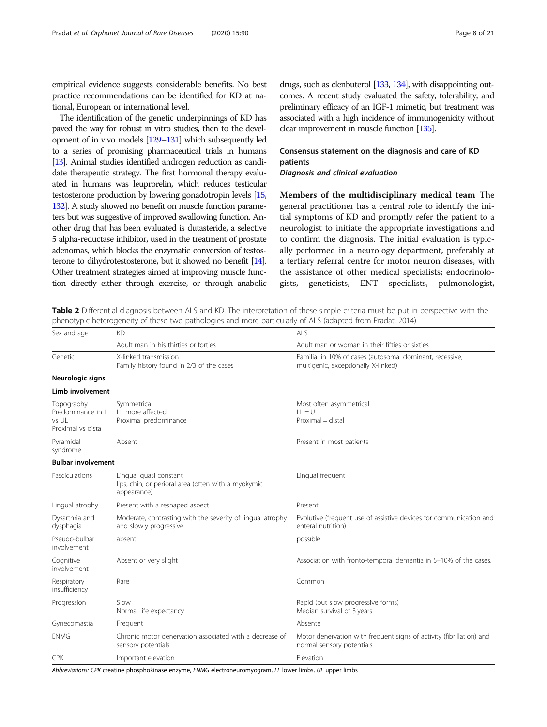<span id="page-7-0"></span>empirical evidence suggests considerable benefits. No best practice recommendations can be identified for KD at national, European or international level.

The identification of the genetic underpinnings of KD has paved the way for robust in vitro studies, then to the development of in vivo models [[129](#page-20-0)–[131](#page-20-0)] which subsequently led to a series of promising pharmaceutical trials in humans [[13\]](#page-17-0). Animal studies identified androgen reduction as candidate therapeutic strategy. The first hormonal therapy evaluated in humans was leuprorelin, which reduces testicular testosterone production by lowering gonadotropin levels [\[15](#page-17-0), [132\]](#page-20-0). A study showed no benefit on muscle function parameters but was suggestive of improved swallowing function. Another drug that has been evaluated is dutasteride, a selective 5 alpha-reductase inhibitor, used in the treatment of prostate adenomas, which blocks the enzymatic conversion of testosterone to dihydrotestosterone, but it showed no benefit [\[14\]](#page-17-0). Other treatment strategies aimed at improving muscle function directly either through exercise, or through anabolic

drugs, such as clenbuterol [\[133](#page-20-0), [134](#page-20-0)], with disappointing outcomes. A recent study evaluated the safety, tolerability, and preliminary efficacy of an IGF-1 mimetic, but treatment was associated with a high incidence of immunogenicity without clear improvement in muscle function [\[135](#page-20-0)].

### Consensus statement on the diagnosis and care of KD patients

Diagnosis and clinical evaluation

Members of the multidisciplinary medical team The general practitioner has a central role to identify the initial symptoms of KD and promptly refer the patient to a neurologist to initiate the appropriate investigations and to confirm the diagnosis. The initial evaluation is typically performed in a neurology department, preferably at a tertiary referral centre for motor neuron diseases, with the assistance of other medical specialists; endocrinologists, geneticists, ENT specialists, pulmonologist,

Table 2 Differential diagnosis between ALS and KD. The interpretation of these simple criteria must be put in perspective with the phenotypic heterogeneity of these two pathologies and more particularly of ALS (adapted from Pradat, 2014)

| Sex and age                                                                      | <b>KD</b>                                                                                     | ALS                                                                                               |
|----------------------------------------------------------------------------------|-----------------------------------------------------------------------------------------------|---------------------------------------------------------------------------------------------------|
|                                                                                  | Adult man in his thirties or forties                                                          | Adult man or woman in their fifties or sixties                                                    |
| Genetic                                                                          | X-linked transmission<br>Family history found in 2/3 of the cases                             | Familial in 10% of cases (autosomal dominant, recessive,<br>multigenic, exceptionally X-linked)   |
| Neurologic signs                                                                 |                                                                                               |                                                                                                   |
| Limb involvement                                                                 |                                                                                               |                                                                                                   |
| Topography<br>Predominance in LL LL more affected<br>vs UI<br>Proximal vs distal | Symmetrical<br>Proximal predominance                                                          | Most often asymmetrical<br>$H = U$<br>$Proximal = distal$                                         |
| Pyramidal<br>syndrome                                                            | Absent                                                                                        | Present in most patients                                                                          |
| <b>Bulbar involvement</b>                                                        |                                                                                               |                                                                                                   |
| Fasciculations                                                                   | Lingual quasi constant<br>lips, chin, or perioral area (often with a myokymic<br>appearance). | Lingual frequent                                                                                  |
| Lingual atrophy                                                                  | Present with a reshaped aspect                                                                | Present                                                                                           |
| Dysarthria and<br>dysphagia                                                      | Moderate, contrasting with the severity of lingual atrophy<br>and slowly progressive          | Evolutive (frequent use of assistive devices for communication and<br>enteral nutrition)          |
| Pseudo-bulbar<br>involvement                                                     | absent                                                                                        | possible                                                                                          |
| Cognitive<br>involvement                                                         | Absent or very slight                                                                         | Association with fronto-temporal dementia in 5-10% of the cases.                                  |
| Respiratory<br>insufficiency                                                     | Rare                                                                                          | Common                                                                                            |
| Progression                                                                      | Slow<br>Normal life expectancy                                                                | Rapid (but slow progressive forms)<br>Median survival of 3 years                                  |
| Gynecomastia                                                                     | Frequent                                                                                      | Absente                                                                                           |
| <b>ENMG</b>                                                                      | Chronic motor denervation associated with a decrease of<br>sensory potentials                 | Motor denervation with frequent signs of activity (fibrillation) and<br>normal sensory potentials |
| <b>CPK</b>                                                                       | Important elevation                                                                           | Elevation                                                                                         |

Abbreviations: CPK creatine phosphokinase enzyme, ENMG electroneuromyogram, LL lower limbs, UL upper limbs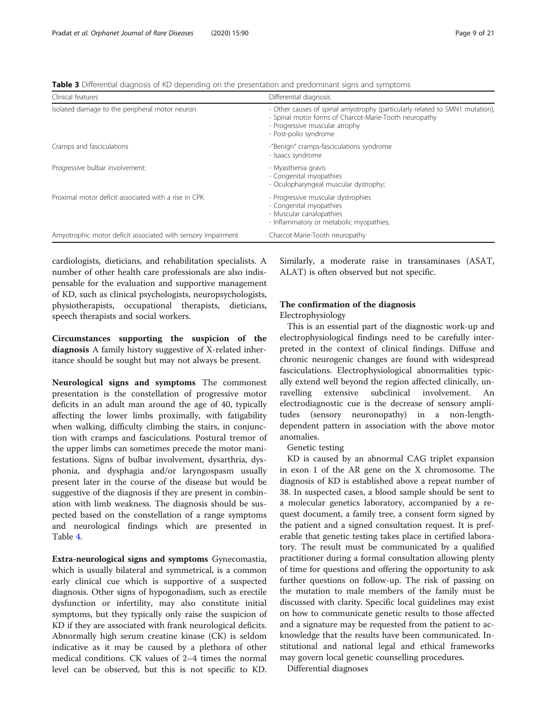<span id="page-8-0"></span>Table 3 Differential diagnosis of KD depending on the presentation and predominant signs and symptoms

| Clinical features                                            | Differential diagnosis                                                                                                                                                                            |
|--------------------------------------------------------------|---------------------------------------------------------------------------------------------------------------------------------------------------------------------------------------------------|
| Isolated damage to the peripheral motor neuron               | - Other causes of spinal amyotrophy (particularly related to SMN1 mutation),<br>- Spinal motor forms of Charcot-Marie-Tooth neuropathy<br>- Progressive muscular atrophy<br>- Post-polio syndrome |
| Cramps and fasciculations                                    | -"Benign" cramps-fasciculations syndrome<br>- Isaacs syndrome                                                                                                                                     |
| Progressive bulbar involvement:                              | - Myasthenia gravis<br>- Congenital myopathies<br>- Oculopharyngeal muscular dystrophy;                                                                                                           |
| Proximal motor deficit associated with a rise in CPK         | - Progressive muscular dystrophies<br>- Congenital myopathies<br>- Muscular canalopathies<br>- Inflammatory or metabolic myopathies;                                                              |
| Amyotrophic motor deficit associated with sensory impairment | Charcot-Marie-Tooth neuropathy                                                                                                                                                                    |

cardiologists, dieticians, and rehabilitation specialists. A number of other health care professionals are also indispensable for the evaluation and supportive management of KD, such as clinical psychologists, neuropsychologists, physiotherapists, occupational therapists, dieticians, speech therapists and social workers.

Circumstances supporting the suspicion of the diagnosis A family history suggestive of X-related inheritance should be sought but may not always be present.

Neurological signs and symptoms The commonest presentation is the constellation of progressive motor deficits in an adult man around the age of 40, typically affecting the lower limbs proximally, with fatigability when walking, difficulty climbing the stairs, in conjunction with cramps and fasciculations. Postural tremor of the upper limbs can sometimes precede the motor manifestations. Signs of bulbar involvement, dysarthria, dysphonia, and dysphagia and/or laryngospasm usually present later in the course of the disease but would be suggestive of the diagnosis if they are present in combination with limb weakness. The diagnosis should be suspected based on the constellation of a range symptoms and neurological findings which are presented in Table [4.](#page-9-0)

Extra-neurological signs and symptoms Gynecomastia, which is usually bilateral and symmetrical, is a common early clinical cue which is supportive of a suspected diagnosis. Other signs of hypogonadism, such as erectile dysfunction or infertility, may also constitute initial symptoms, but they typically only raise the suspicion of KD if they are associated with frank neurological deficits. Abnormally high serum creatine kinase (CK) is seldom indicative as it may be caused by a plethora of other medical conditions. CK values of 2–4 times the normal level can be observed, but this is not specific to KD. Similarly, a moderate raise in transaminases (ASAT, ALAT) is often observed but not specific.

# The confirmation of the diagnosis

#### Electrophysiology

This is an essential part of the diagnostic work-up and electrophysiological findings need to be carefully interpreted in the context of clinical findings. Diffuse and chronic neurogenic changes are found with widespread fasciculations. Electrophysiological abnormalities typically extend well beyond the region affected clinically, unravelling extensive subclinical involvement. An electrodiagnostic cue is the decrease of sensory amplitudes (sensory neuronopathy) in a non-lengthdependent pattern in association with the above motor anomalies.

#### Genetic testing

KD is caused by an abnormal CAG triplet expansion in exon 1 of the AR gene on the X chromosome. The diagnosis of KD is established above a repeat number of 38. In suspected cases, a blood sample should be sent to a molecular genetics laboratory, accompanied by a request document, a family tree, a consent form signed by the patient and a signed consultation request. It is preferable that genetic testing takes place in certified laboratory. The result must be communicated by a qualified practitioner during a formal consultation allowing plenty of time for questions and offering the opportunity to ask further questions on follow-up. The risk of passing on the mutation to male members of the family must be discussed with clarity. Specific local guidelines may exist on how to communicate genetic results to those affected and a signature may be requested from the patient to acknowledge that the results have been communicated. Institutional and national legal and ethical frameworks may govern local genetic counselling procedures.

Differential diagnoses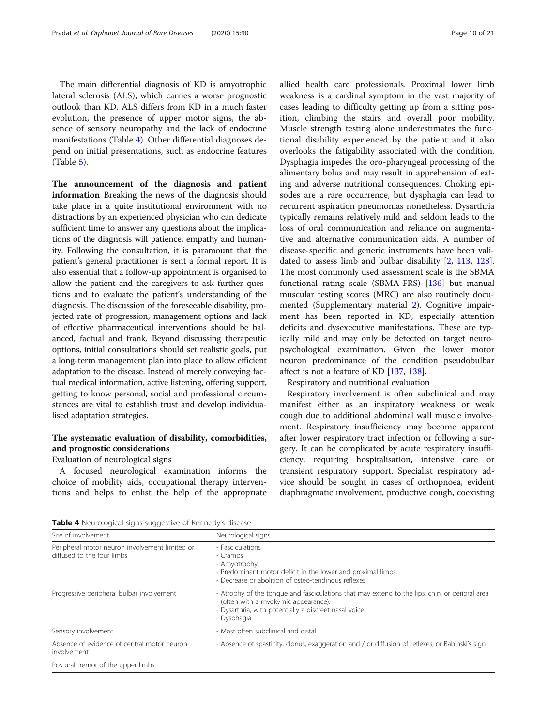<span id="page-9-0"></span>The main differential diagnosis of KD is amyotrophic lateral sclerosis (ALS), which carries a worse prognostic outlook than KD. ALS differs from KD in a much faster evolution, the presence of upper motor signs, the absence of sensory neuropathy and the lack of endocrine manifestations (Table 4). Other differential diagnoses depend on initial presentations, such as endocrine features (Table [5\)](#page-10-0).

The announcement of the diagnosis and patient information Breaking the news of the diagnosis should take place in a quite institutional environment with no distractions by an experienced physician who can dedicate sufficient time to answer any questions about the implications of the diagnosis will patience, empathy and humanity. Following the consultation, it is paramount that the patient's general practitioner is sent a formal report. It is also essential that a follow-up appointment is organised to allow the patient and the caregivers to ask further questions and to evaluate the patient's understanding of the diagnosis. The discussion of the foreseeable disability, projected rate of progression, management options and lack of effective pharmaceutical interventions should be balanced, factual and frank. Beyond discussing therapeutic options, initial consultations should set realistic goals, put a long-term management plan into place to allow efficient adaptation to the disease. Instead of merely conveying factual medical information, active listening, offering support, getting to know personal, social and professional circumstances are vital to establish trust and develop individualised adaptation strategies.

# The systematic evaluation of disability, comorbidities, and prognostic considerations

Evaluation of neurological signs

A focused neurological examination informs the choice of mobility aids, occupational therapy interventions and helps to enlist the help of the appropriate allied health care professionals. Proximal lower limb weakness is a cardinal symptom in the vast majority of cases leading to difficulty getting up from a sitting position, climbing the stairs and overall poor mobility. Muscle strength testing alone underestimates the functional disability experienced by the patient and it also overlooks the fatigability associated with the condition. Dysphagia impedes the oro-pharyngeal processing of the alimentary bolus and may result in apprehension of eating and adverse nutritional consequences. Choking episodes are a rare occurrence, but dysphagia can lead to recurrent aspiration pneumonias nonetheless. Dysarthria typically remains relatively mild and seldom leads to the loss of oral communication and reliance on augmentative and alternative communication aids. A number of disease-specific and generic instruments have been validated to assess limb and bulbar disability [[2](#page-17-0), [113](#page-20-0), [128](#page-20-0)]. The most commonly used assessment scale is the SBMA functional rating scale (SBMA-FRS) [\[136](#page-20-0)] but manual muscular testing scores (MRC) are also routinely documented (Supplementary material [2\)](#page-16-0). Cognitive impairment has been reported in KD, especially attention deficits and dysexecutive manifestations. These are typically mild and may only be detected on target neuropsychological examination. Given the lower motor neuron predominance of the condition pseudobulbar affect is not a feature of KD [[137,](#page-20-0) [138](#page-20-0)].

Respiratory and nutritional evaluation

Respiratory involvement is often subclinical and may manifest either as an inspiratory weakness or weak cough due to additional abdominal wall muscle involvement. Respiratory insufficiency may become apparent after lower respiratory tract infection or following a surgery. It can be complicated by acute respiratory insufficiency, requiring hospitalisation, intensive care or transient respiratory support. Specialist respiratory advice should be sought in cases of orthopnoea, evident diaphragmatic involvement, productive cough, coexisting

Table 4 Neurological signs suggestive of Kennedy's disease

| Site of involvement                                                          | Neurological signs                                                                                                                                                                                            |
|------------------------------------------------------------------------------|---------------------------------------------------------------------------------------------------------------------------------------------------------------------------------------------------------------|
| Peripheral motor neuron involvement limited or<br>diffused to the four limbs | - Fasciculations<br>- Cramps<br>- Amyotrophy<br>- Predominant motor deficit in the lower and proximal limbs,<br>- Decrease or abolition of osteo-tendinous reflexes                                           |
| Progressive peripheral bulbar involvement                                    | - Atrophy of the tongue and fasciculations that may extend to the lips, chin, or perioral area<br>(often with a myokymic appearance).<br>- Dysarthria, with potentially a discreet nasal voice<br>- Dysphagia |
| Sensory involvement                                                          | - Most often subclinical and distal                                                                                                                                                                           |
| Absence of evidence of central motor neuron<br>involvement                   | - Absence of spasticity, clonus, exaggeration and / or diffusion of reflexes, or Babinski's sign                                                                                                              |
| Postural tremor of the upper limbs                                           |                                                                                                                                                                                                               |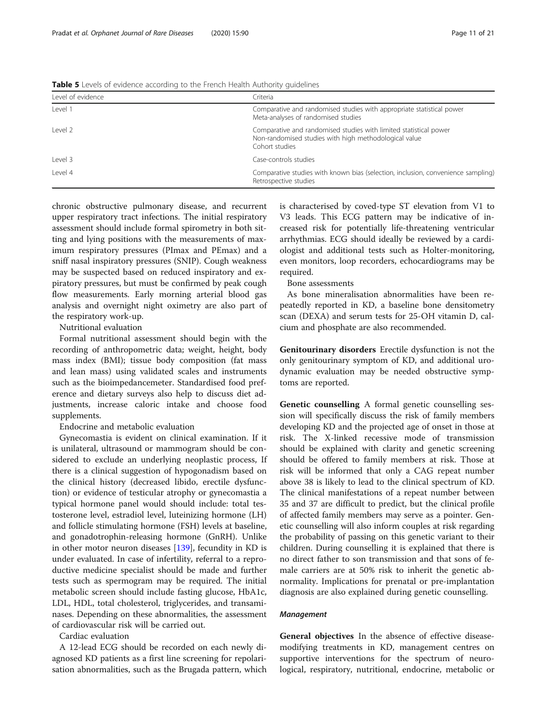<span id="page-10-0"></span>

|  | Table 5 Levels of evidence according to the French Health Authority guidelines |  |
|--|--------------------------------------------------------------------------------|--|
|  |                                                                                |  |

| Level of evidence | Criteria                                                                                                                                     |
|-------------------|----------------------------------------------------------------------------------------------------------------------------------------------|
| Level 1           | Comparative and randomised studies with appropriate statistical power<br>Meta-analyses of randomised studies                                 |
| Level 2           | Comparative and randomised studies with limited statistical power<br>Non-randomised studies with high methodological value<br>Cohort studies |
| Level 3           | Case-controls studies                                                                                                                        |
| l evel 4          | Comparative studies with known bias (selection, inclusion, convenience sampling)<br>Retrospective studies                                    |

chronic obstructive pulmonary disease, and recurrent upper respiratory tract infections. The initial respiratory assessment should include formal spirometry in both sitting and lying positions with the measurements of maximum respiratory pressures (PImax and PEmax) and a sniff nasal inspiratory pressures (SNIP). Cough weakness may be suspected based on reduced inspiratory and expiratory pressures, but must be confirmed by peak cough flow measurements. Early morning arterial blood gas analysis and overnight night oximetry are also part of the respiratory work-up.

Nutritional evaluation

Formal nutritional assessment should begin with the recording of anthropometric data; weight, height, body mass index (BMI); tissue body composition (fat mass and lean mass) using validated scales and instruments such as the bioimpedancemeter. Standardised food preference and dietary surveys also help to discuss diet adjustments, increase caloric intake and choose food supplements.

Endocrine and metabolic evaluation

Gynecomastia is evident on clinical examination. If it is unilateral, ultrasound or mammogram should be considered to exclude an underlying neoplastic process, If there is a clinical suggestion of hypogonadism based on the clinical history (decreased libido, erectile dysfunction) or evidence of testicular atrophy or gynecomastia a typical hormone panel would should include: total testosterone level, estradiol level, luteinizing hormone (LH) and follicle stimulating hormone (FSH) levels at baseline, and gonadotrophin-releasing hormone (GnRH). Unlike in other motor neuron diseases [\[139\]](#page-20-0), fecundity in KD is under evaluated. In case of infertility, referral to a reproductive medicine specialist should be made and further tests such as spermogram may be required. The initial metabolic screen should include fasting glucose, HbA1c, LDL, HDL, total cholesterol, triglycerides, and transaminases. Depending on these abnormalities, the assessment of cardiovascular risk will be carried out.

Cardiac evaluation

A 12-lead ECG should be recorded on each newly diagnosed KD patients as a first line screening for repolarisation abnormalities, such as the Brugada pattern, which

is characterised by coved-type ST elevation from V1 to V3 leads. This ECG pattern may be indicative of increased risk for potentially life-threatening ventricular arrhythmias. ECG should ideally be reviewed by a cardiologist and additional tests such as Holter-monitoring, even monitors, loop recorders, echocardiograms may be required.

Bone assessments

As bone mineralisation abnormalities have been repeatedly reported in KD, a baseline bone densitometry scan (DEXA) and serum tests for 25-OH vitamin D, calcium and phosphate are also recommended.

Genitourinary disorders Erectile dysfunction is not the only genitourinary symptom of KD, and additional urodynamic evaluation may be needed obstructive symptoms are reported.

Genetic counselling A formal genetic counselling session will specifically discuss the risk of family members developing KD and the projected age of onset in those at risk. The X-linked recessive mode of transmission should be explained with clarity and genetic screening should be offered to family members at risk. Those at risk will be informed that only a CAG repeat number above 38 is likely to lead to the clinical spectrum of KD. The clinical manifestations of a repeat number between 35 and 37 are difficult to predict, but the clinical profile of affected family members may serve as a pointer. Genetic counselling will also inform couples at risk regarding the probability of passing on this genetic variant to their children. During counselling it is explained that there is no direct father to son transmission and that sons of female carriers are at 50% risk to inherit the genetic abnormality. Implications for prenatal or pre-implantation diagnosis are also explained during genetic counselling.

#### Management

General objectives In the absence of effective diseasemodifying treatments in KD, management centres on supportive interventions for the spectrum of neurological, respiratory, nutritional, endocrine, metabolic or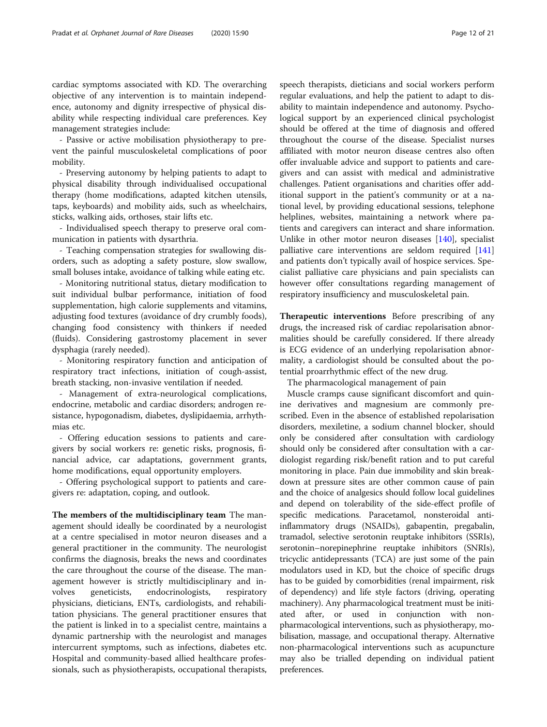cardiac symptoms associated with KD. The overarching objective of any intervention is to maintain independence, autonomy and dignity irrespective of physical disability while respecting individual care preferences. Key management strategies include:

- Passive or active mobilisation physiotherapy to prevent the painful musculoskeletal complications of poor mobility.

- Preserving autonomy by helping patients to adapt to physical disability through individualised occupational therapy (home modifications, adapted kitchen utensils, taps, keyboards) and mobility aids, such as wheelchairs, sticks, walking aids, orthoses, stair lifts etc.

- Individualised speech therapy to preserve oral communication in patients with dysarthria.

- Teaching compensation strategies for swallowing disorders, such as adopting a safety posture, slow swallow, small boluses intake, avoidance of talking while eating etc.

- Monitoring nutritional status, dietary modification to suit individual bulbar performance, initiation of food supplementation, high calorie supplements and vitamins, adjusting food textures (avoidance of dry crumbly foods), changing food consistency with thinkers if needed (fluids). Considering gastrostomy placement in sever dysphagia (rarely needed).

- Monitoring respiratory function and anticipation of respiratory tract infections, initiation of cough-assist, breath stacking, non-invasive ventilation if needed.

- Management of extra-neurological complications, endocrine, metabolic and cardiac disorders; androgen resistance, hypogonadism, diabetes, dyslipidaemia, arrhythmias etc.

- Offering education sessions to patients and caregivers by social workers re: genetic risks, prognosis, financial advice, car adaptations, government grants, home modifications, equal opportunity employers.

- Offering psychological support to patients and caregivers re: adaptation, coping, and outlook.

The members of the multidisciplinary team The management should ideally be coordinated by a neurologist at a centre specialised in motor neuron diseases and a general practitioner in the community. The neurologist confirms the diagnosis, breaks the news and coordinates the care throughout the course of the disease. The management however is strictly multidisciplinary and involves geneticists, endocrinologists, respiratory physicians, dieticians, ENTs, cardiologists, and rehabilitation physicians. The general practitioner ensures that the patient is linked in to a specialist centre, maintains a dynamic partnership with the neurologist and manages intercurrent symptoms, such as infections, diabetes etc. Hospital and community-based allied healthcare professionals, such as physiotherapists, occupational therapists, speech therapists, dieticians and social workers perform regular evaluations, and help the patient to adapt to disability to maintain independence and autonomy. Psychological support by an experienced clinical psychologist should be offered at the time of diagnosis and offered throughout the course of the disease. Specialist nurses affiliated with motor neuron disease centres also often offer invaluable advice and support to patients and caregivers and can assist with medical and administrative challenges. Patient organisations and charities offer additional support in the patient's community or at a national level, by providing educational sessions, telephone helplines, websites, maintaining a network where patients and caregivers can interact and share information. Unlike in other motor neuron diseases [\[140](#page-20-0)], specialist palliative care interventions are seldom required [[141](#page-20-0)] and patients don't typically avail of hospice services. Specialist palliative care physicians and pain specialists can however offer consultations regarding management of respiratory insufficiency and musculoskeletal pain.

Therapeutic interventions Before prescribing of any drugs, the increased risk of cardiac repolarisation abnormalities should be carefully considered. If there already is ECG evidence of an underlying repolarisation abnormality, a cardiologist should be consulted about the potential proarrhythmic effect of the new drug.

The pharmacological management of pain

Muscle cramps cause significant discomfort and quinine derivatives and magnesium are commonly prescribed. Even in the absence of established repolarisation disorders, mexiletine, a sodium channel blocker, should only be considered after consultation with cardiology should only be considered after consultation with a cardiologist regarding risk/benefit ration and to put careful monitoring in place. Pain due immobility and skin breakdown at pressure sites are other common cause of pain and the choice of analgesics should follow local guidelines and depend on tolerability of the side-effect profile of specific medications. Paracetamol, nonsteroidal antiinflammatory drugs (NSAIDs), gabapentin, pregabalin, tramadol, selective serotonin reuptake inhibitors (SSRIs), serotonin–norepinephrine reuptake inhibitors (SNRIs), tricyclic antidepressants (TCA) are just some of the pain modulators used in KD, but the choice of specific drugs has to be guided by comorbidities (renal impairment, risk of dependency) and life style factors (driving, operating machinery). Any pharmacological treatment must be initiated after, or used in conjunction with nonpharmacological interventions, such as physiotherapy, mobilisation, massage, and occupational therapy. Alternative non-pharmacological interventions such as acupuncture may also be trialled depending on individual patient preferences.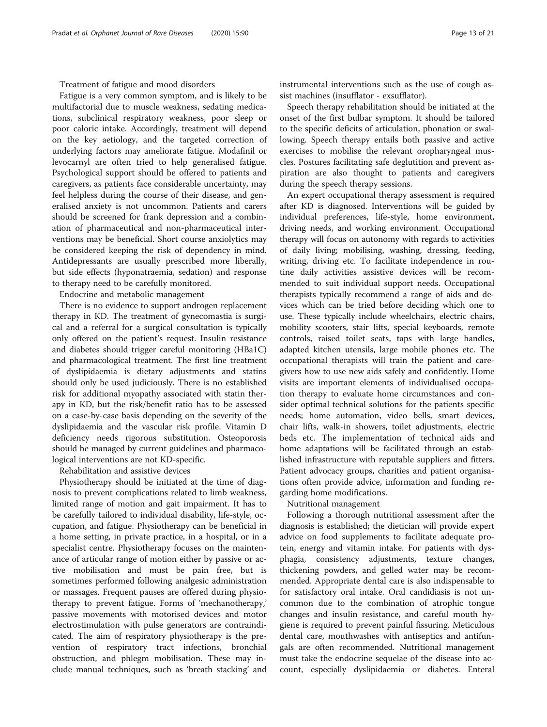#### Treatment of fatigue and mood disorders

Fatigue is a very common symptom, and is likely to be multifactorial due to muscle weakness, sedating medications, subclinical respiratory weakness, poor sleep or poor caloric intake. Accordingly, treatment will depend on the key aetiology, and the targeted correction of underlying factors may ameliorate fatigue. Modafinil or levocarnyl are often tried to help generalised fatigue. Psychological support should be offered to patients and caregivers, as patients face considerable uncertainty, may feel helpless during the course of their disease, and generalised anxiety is not uncommon. Patients and carers should be screened for frank depression and a combination of pharmaceutical and non-pharmaceutical interventions may be beneficial. Short course anxiolytics may be considered keeping the risk of dependency in mind. Antidepressants are usually prescribed more liberally, but side effects (hyponatraemia, sedation) and response to therapy need to be carefully monitored.

Endocrine and metabolic management

There is no evidence to support androgen replacement therapy in KD. The treatment of gynecomastia is surgical and a referral for a surgical consultation is typically only offered on the patient's request. Insulin resistance and diabetes should trigger careful monitoring (HBa1C) and pharmacological treatment. The first line treatment of dyslipidaemia is dietary adjustments and statins should only be used judiciously. There is no established risk for additional myopathy associated with statin therapy in KD, but the risk/benefit ratio has to be assessed on a case-by-case basis depending on the severity of the dyslipidaemia and the vascular risk profile. Vitamin D deficiency needs rigorous substitution. Osteoporosis should be managed by current guidelines and pharmacological interventions are not KD-specific.

Rehabilitation and assistive devices

Physiotherapy should be initiated at the time of diagnosis to prevent complications related to limb weakness, limited range of motion and gait impairment. It has to be carefully tailored to individual disability, life-style, occupation, and fatigue. Physiotherapy can be beneficial in a home setting, in private practice, in a hospital, or in a specialist centre. Physiotherapy focuses on the maintenance of articular range of motion either by passive or active mobilisation and must be pain free, but is sometimes performed following analgesic administration or massages. Frequent pauses are offered during physiotherapy to prevent fatigue. Forms of 'mechanotherapy,' passive movements with motorised devices and motor electrostimulation with pulse generators are contraindicated. The aim of respiratory physiotherapy is the prevention of respiratory tract infections, bronchial obstruction, and phlegm mobilisation. These may include manual techniques, such as 'breath stacking' and instrumental interventions such as the use of cough assist machines (insufflator - exsufflator).

Speech therapy rehabilitation should be initiated at the onset of the first bulbar symptom. It should be tailored to the specific deficits of articulation, phonation or swallowing. Speech therapy entails both passive and active exercises to mobilise the relevant oropharyngeal muscles. Postures facilitating safe deglutition and prevent aspiration are also thought to patients and caregivers during the speech therapy sessions.

An expert occupational therapy assessment is required after KD is diagnosed. Interventions will be guided by individual preferences, life-style, home environment, driving needs, and working environment. Occupational therapy will focus on autonomy with regards to activities of daily living; mobilising, washing, dressing, feeding, writing, driving etc. To facilitate independence in routine daily activities assistive devices will be recommended to suit individual support needs. Occupational therapists typically recommend a range of aids and devices which can be tried before deciding which one to use. These typically include wheelchairs, electric chairs, mobility scooters, stair lifts, special keyboards, remote controls, raised toilet seats, taps with large handles, adapted kitchen utensils, large mobile phones etc. The occupational therapists will train the patient and caregivers how to use new aids safely and confidently. Home visits are important elements of individualised occupation therapy to evaluate home circumstances and consider optimal technical solutions for the patients specific needs; home automation, video bells, smart devices, chair lifts, walk-in showers, toilet adjustments, electric beds etc. The implementation of technical aids and home adaptations will be facilitated through an established infrastructure with reputable suppliers and fitters. Patient advocacy groups, charities and patient organisations often provide advice, information and funding regarding home modifications.

#### Nutritional management

Following a thorough nutritional assessment after the diagnosis is established; the dietician will provide expert advice on food supplements to facilitate adequate protein, energy and vitamin intake. For patients with dysphagia, consistency adjustments, texture changes, thickening powders, and gelled water may be recommended. Appropriate dental care is also indispensable to for satisfactory oral intake. Oral candidiasis is not uncommon due to the combination of atrophic tongue changes and insulin resistance, and careful mouth hygiene is required to prevent painful fissuring. Meticulous dental care, mouthwashes with antiseptics and antifungals are often recommended. Nutritional management must take the endocrine sequelae of the disease into account, especially dyslipidaemia or diabetes. Enteral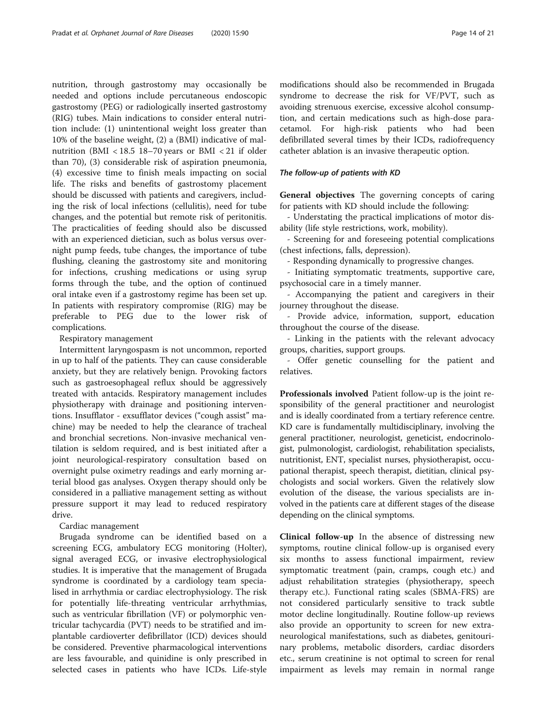nutrition, through gastrostomy may occasionally be needed and options include percutaneous endoscopic gastrostomy (PEG) or radiologically inserted gastrostomy (RIG) tubes. Main indications to consider enteral nutrition include: (1) unintentional weight loss greater than 10% of the baseline weight, (2) a (BMI) indicative of malnutrition (BMI < 18.5 18–70 years or BMI < 21 if older than 70), (3) considerable risk of aspiration pneumonia, (4) excessive time to finish meals impacting on social life. The risks and benefits of gastrostomy placement should be discussed with patients and caregivers, including the risk of local infections (cellulitis), need for tube changes, and the potential but remote risk of peritonitis. The practicalities of feeding should also be discussed with an experienced dietician, such as bolus versus overnight pump feeds, tube changes, the importance of tube flushing, cleaning the gastrostomy site and monitoring for infections, crushing medications or using syrup forms through the tube, and the option of continued oral intake even if a gastrostomy regime has been set up. In patients with respiratory compromise (RIG) may be preferable to PEG due to the lower risk of complications.

#### Respiratory management

Intermittent laryngospasm is not uncommon, reported in up to half of the patients. They can cause considerable anxiety, but they are relatively benign. Provoking factors such as gastroesophageal reflux should be aggressively treated with antacids. Respiratory management includes physiotherapy with drainage and positioning interventions. Insufflator - exsufflator devices ("cough assist" machine) may be needed to help the clearance of tracheal and bronchial secretions. Non-invasive mechanical ventilation is seldom required, and is best initiated after a joint neurological-respiratory consultation based on overnight pulse oximetry readings and early morning arterial blood gas analyses. Oxygen therapy should only be considered in a palliative management setting as without pressure support it may lead to reduced respiratory drive.

#### Cardiac management

Brugada syndrome can be identified based on a screening ECG, ambulatory ECG monitoring (Holter), signal averaged ECG, or invasive electrophysiological studies. It is imperative that the management of Brugada syndrome is coordinated by a cardiology team specialised in arrhythmia or cardiac electrophysiology. The risk for potentially life-threating ventricular arrhythmias, such as ventricular fibrillation (VF) or polymorphic ventricular tachycardia (PVT) needs to be stratified and implantable cardioverter defibrillator (ICD) devices should be considered. Preventive pharmacological interventions are less favourable, and quinidine is only prescribed in selected cases in patients who have ICDs. Life-style

modifications should also be recommended in Brugada syndrome to decrease the risk for VF/PVT, such as avoiding strenuous exercise, excessive alcohol consumption, and certain medications such as high-dose paracetamol. For high-risk patients who had been defibrillated several times by their ICDs, radiofrequency catheter ablation is an invasive therapeutic option.

#### The follow-up of patients with KD

General objectives The governing concepts of caring for patients with KD should include the following:

- Understating the practical implications of motor disability (life style restrictions, work, mobility).

- Screening for and foreseeing potential complications (chest infections, falls, depression).

- Responding dynamically to progressive changes.

- Initiating symptomatic treatments, supportive care, psychosocial care in a timely manner.

- Accompanying the patient and caregivers in their journey throughout the disease.

- Provide advice, information, support, education throughout the course of the disease.

- Linking in the patients with the relevant advocacy groups, charities, support groups.

- Offer genetic counselling for the patient and relatives.

Professionals involved Patient follow-up is the joint responsibility of the general practitioner and neurologist and is ideally coordinated from a tertiary reference centre. KD care is fundamentally multidisciplinary, involving the general practitioner, neurologist, geneticist, endocrinologist, pulmonologist, cardiologist, rehabilitation specialists, nutritionist, ENT, specialist nurses, physiotherapist, occupational therapist, speech therapist, dietitian, clinical psychologists and social workers. Given the relatively slow evolution of the disease, the various specialists are involved in the patients care at different stages of the disease depending on the clinical symptoms.

Clinical follow-up In the absence of distressing new symptoms, routine clinical follow-up is organised every six months to assess functional impairment, review symptomatic treatment (pain, cramps, cough etc.) and adjust rehabilitation strategies (physiotherapy, speech therapy etc.). Functional rating scales (SBMA-FRS) are not considered particularly sensitive to track subtle motor decline longitudinally. Routine follow-up reviews also provide an opportunity to screen for new extraneurological manifestations, such as diabetes, genitourinary problems, metabolic disorders, cardiac disorders etc., serum creatinine is not optimal to screen for renal impairment as levels may remain in normal range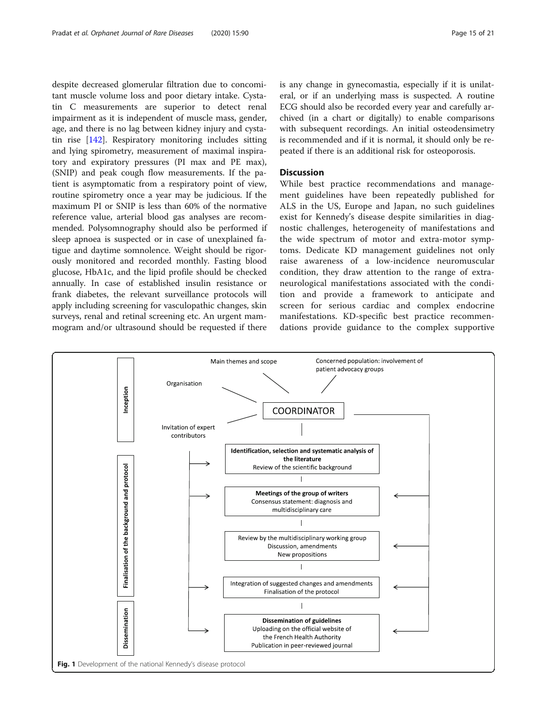<span id="page-14-0"></span>despite decreased glomerular filtration due to concomitant muscle volume loss and poor dietary intake. Cystatin C measurements are superior to detect renal impairment as it is independent of muscle mass, gender, age, and there is no lag between kidney injury and cystatin rise [[142](#page-20-0)]. Respiratory monitoring includes sitting and lying spirometry, measurement of maximal inspiratory and expiratory pressures (PI max and PE max), (SNIP) and peak cough flow measurements. If the patient is asymptomatic from a respiratory point of view, routine spirometry once a year may be judicious. If the maximum PI or SNIP is less than 60% of the normative reference value, arterial blood gas analyses are recommended. Polysomnography should also be performed if sleep apnoea is suspected or in case of unexplained fatigue and daytime somnolence. Weight should be rigorously monitored and recorded monthly. Fasting blood glucose, HbA1c, and the lipid profile should be checked annually. In case of established insulin resistance or frank diabetes, the relevant surveillance protocols will apply including screening for vasculopathic changes, skin surveys, renal and retinal screening etc. An urgent mammogram and/or ultrasound should be requested if there

is any change in gynecomastia, especially if it is unilateral, or if an underlying mass is suspected. A routine ECG should also be recorded every year and carefully archived (in a chart or digitally) to enable comparisons with subsequent recordings. An initial osteodensimetry is recommended and if it is normal, it should only be repeated if there is an additional risk for osteoporosis.

### **Discussion**

While best practice recommendations and management guidelines have been repeatedly published for ALS in the US, Europe and Japan, no such guidelines exist for Kennedy's disease despite similarities in diagnostic challenges, heterogeneity of manifestations and the wide spectrum of motor and extra-motor symptoms. Dedicate KD management guidelines not only raise awareness of a low-incidence neuromuscular condition, they draw attention to the range of extraneurological manifestations associated with the condition and provide a framework to anticipate and screen for serious cardiac and complex endocrine manifestations. KD-specific best practice recommendations provide guidance to the complex supportive

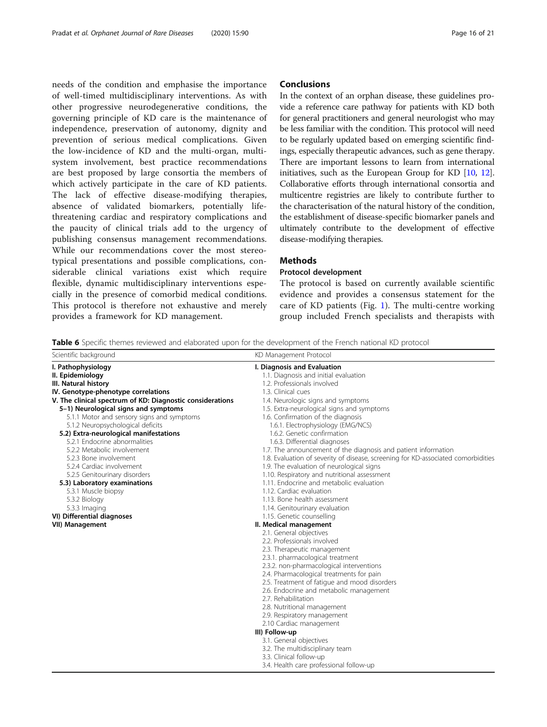<span id="page-15-0"></span>needs of the condition and emphasise the importance of well-timed multidisciplinary interventions. As with other progressive neurodegenerative conditions, the governing principle of KD care is the maintenance of independence, preservation of autonomy, dignity and prevention of serious medical complications. Given the low-incidence of KD and the multi-organ, multisystem involvement, best practice recommendations are best proposed by large consortia the members of which actively participate in the care of KD patients. The lack of effective disease-modifying therapies, absence of validated biomarkers, potentially lifethreatening cardiac and respiratory complications and the paucity of clinical trials add to the urgency of publishing consensus management recommendations. While our recommendations cover the most stereotypical presentations and possible complications, considerable clinical variations exist which require flexible, dynamic multidisciplinary interventions especially in the presence of comorbid medical conditions. This protocol is therefore not exhaustive and merely provides a framework for KD management.

#### Conclusions

In the context of an orphan disease, these guidelines provide a reference care pathway for patients with KD both for general practitioners and general neurologist who may be less familiar with the condition. This protocol will need to be regularly updated based on emerging scientific findings, especially therapeutic advances, such as gene therapy. There are important lessons to learn from international initiatives, such as the European Group for KD [\[10,](#page-17-0) [12](#page-17-0)]. Collaborative efforts through international consortia and multicentre registries are likely to contribute further to the characterisation of the natural history of the condition, the establishment of disease-specific biomarker panels and ultimately contribute to the development of effective disease-modifying therapies.

# Methods

#### Protocol development

The protocol is based on currently available scientific evidence and provides a consensus statement for the care of KD patients (Fig. [1](#page-14-0)). The multi-centre working group included French specialists and therapists with

Table 6 Specific themes reviewed and elaborated upon for the development of the French national KD protocol

| Scientific background                                     | KD Management Protocol                                                            |  |
|-----------------------------------------------------------|-----------------------------------------------------------------------------------|--|
| I. Pathophysiology                                        | I. Diagnosis and Evaluation                                                       |  |
| II. Epidemiology                                          | 1.1. Diagnosis and initial evaluation                                             |  |
| III. Natural history                                      | 1.2. Professionals involved                                                       |  |
| IV. Genotype-phenotype correlations                       | 1.3. Clinical cues                                                                |  |
| V. The clinical spectrum of KD: Diagnostic considerations | 1.4. Neurologic signs and symptoms                                                |  |
| 5-1) Neurological signs and symptoms                      | 1.5. Extra-neurological signs and symptoms                                        |  |
| 5.1.1 Motor and sensory signs and symptoms                | 1.6. Confirmation of the diagnosis                                                |  |
| 5.1.2 Neuropsychological deficits                         | 1.6.1. Electrophysiology (EMG/NCS)                                                |  |
| 5.2) Extra-neurological manifestations                    | 1.6.2. Genetic confirmation                                                       |  |
| 5.2.1 Endocrine abnormalities                             | 1.6.3. Differential diagnoses                                                     |  |
| 5.2.2 Metabolic involvement                               | 1.7. The announcement of the diagnosis and patient information                    |  |
| 5.2.3 Bone involvement                                    | 1.8. Evaluation of severity of disease, screening for KD-associated comorbidities |  |
| 5.2.4 Cardiac involvement                                 | 1.9. The evaluation of neurological signs                                         |  |
| 5.2.5 Genitourinary disorders                             | 1.10. Respiratory and nutritional assessment                                      |  |
| 5.3) Laboratory examinations                              | 1.11. Endocrine and metabolic evaluation                                          |  |
| 5.3.1 Muscle biopsy                                       | 1.12. Cardiac evaluation                                                          |  |
| 5.3.2 Biology                                             | 1.13. Bone health assessment                                                      |  |
| 5.3.3 Imaging                                             | 1.14. Genitourinary evaluation                                                    |  |
| VI) Differential diagnoses                                | 1.15. Genetic counselling                                                         |  |
| <b>VII) Management</b>                                    | II. Medical management                                                            |  |
|                                                           | 2.1. General objectives                                                           |  |
|                                                           | 2.2. Professionals involved                                                       |  |
|                                                           | 2.3. Therapeutic management                                                       |  |
|                                                           | 2.3.1. pharmacological treatment                                                  |  |
|                                                           | 2.3.2. non-pharmacological interventions                                          |  |
|                                                           | 2.4. Pharmacological treatments for pain                                          |  |
|                                                           | 2.5. Treatment of fatigue and mood disorders                                      |  |
|                                                           | 2.6. Endocrine and metabolic management                                           |  |
|                                                           | 2.7. Rehabilitation                                                               |  |
|                                                           | 2.8. Nutritional management                                                       |  |
|                                                           | 2.9. Respiratory management                                                       |  |
|                                                           | 2.10 Cardiac management                                                           |  |
|                                                           | III) Follow-up                                                                    |  |
|                                                           | 3.1. General objectives                                                           |  |
|                                                           | 3.2. The multidisciplinary team                                                   |  |
|                                                           | 3.3. Clinical follow-up                                                           |  |
|                                                           | 3.4. Health care professional follow-up                                           |  |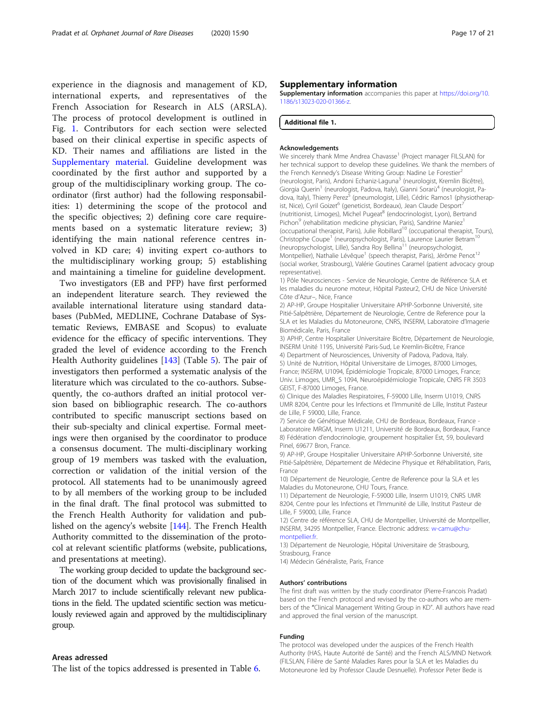<span id="page-16-0"></span>experience in the diagnosis and management of KD, international experts, and representatives of the French Association for Research in ALS (ARSLA). The process of protocol development is outlined in Fig. [1.](#page-14-0) Contributors for each section were selected based on their clinical expertise in specific aspects of KD. Their names and affiliations are listed in the Supplementary material. Guideline development was coordinated by the first author and supported by a group of the multidisciplinary working group. The coordinator (first author) had the following responsabilities: 1) determining the scope of the protocol and the specific objectives; 2) defining core care requirements based on a systematic literature review; 3) identifying the main national reference centres involved in KD care; 4) inviting expert co-authors to the multidisciplinary working group; 5) establishing and maintaining a timeline for guideline development.

Two investigators (EB and PFP) have first performed an independent literature search. They reviewed the available international literature using standard databases (PubMed, MEDLINE, Cochrane Database of Systematic Reviews, EMBASE and Scopus) to evaluate evidence for the efficacy of specific interventions. They graded the level of evidence according to the French Health Authority guidelines [\[143](#page-20-0)] (Table [5\)](#page-10-0). The pair of investigators then performed a systematic analysis of the literature which was circulated to the co-authors. Subsequently, the co-authors drafted an initial protocol version based on bibliographic research. The co-authors contributed to specific manuscript sections based on their sub-specialty and clinical expertise. Formal meetings were then organised by the coordinator to produce a consensus document. The multi-disciplinary working group of 19 members was tasked with the evaluation, correction or validation of the initial version of the protocol. All statements had to be unanimously agreed to by all members of the working group to be included in the final draft. The final protocol was submitted to the French Health Authority for validation and published on the agency's website [\[144\]](#page-20-0). The French Health Authority committed to the dissemination of the protocol at relevant scientific platforms (website, publications, and presentations at meeting).

The working group decided to update the background section of the document which was provisionally finalised in March 2017 to include scientifically relevant new publications in the field. The updated scientific section was meticulously reviewed again and approved by the multidisciplinary group.

#### Areas adressed

The list of the topics addressed is presented in Table [6.](#page-15-0)

#### Supplementary information

Supplementary information accompanies this paper at [https://doi.org/10.](https://doi.org/10.1186/s13023-020-01366-z) [1186/s13023-020-01366-z.](https://doi.org/10.1186/s13023-020-01366-z)

#### Additional file 1.

#### Acknowledgements

We sincerely thank Mme Andrea Chavasse<sup>1</sup> (Project manager FILSLAN) for her technical support to develop these guidelines. We thank the members of the French Kennedy's Disease Writing Group: Nadine Le Forestier<sup>2</sup> (neurologist, Paris), Andoni Echaniz-Laguna<sup>3</sup> (neurologist, Kremlin Bicêtre), Giorgia Querin<sup>1</sup> (neurologist, Padova, Italy), Gianni Sorarù<sup>4</sup> (neurologist, Padova, Italy), Thierry Perez<sup>5</sup> (pneumologist, Lille), Cédric Ramos1 (physiotherapist, Nice), Cyril Goizet<sup>6</sup> (geneticist, Bordeaux), Jean Claude Desport<sup>7</sup> (nutritionist, Limoges), Michel Pugeat<sup>8</sup> (endocrinologist, Lyon), Bertrand Pichon<sup>9</sup> (rehabilitation medicine physician, Paris), Sandrine Maniez<sup>1</sup> (occupational therapist, Paris), Julie Robillard<sup>10</sup> (occupational therapist, Tours), Christophe Coupe<sup>1</sup> (neuropsychologist, Paris), Laurence Laurier Betram<sup>10</sup> (neuropsychologist, Lille), Sandra Roy Bellina<sup>11</sup> (neuropsychologist, Montpellier), Nathalie Lévêque<sup>1</sup> (speech therapist, Paris), Jérôme Penot<sup>12</sup> (social worker, Strasbourg), Valérie Goutines Caramel (patient advocacy group representative).

1) Pôle Neurosciences - Service de Neurologie, Centre de Référence SLA et les maladies du neurone moteur, Hôpital Pasteur2, CHU de Nice Université Côte d'Azur–, Nice, France

2) AP-HP, Groupe Hospitalier Universitaire APHP-Sorbonne Université, site Pitié-Salpêtrière, Département de Neurologie, Centre de Reference pour la SLA et les Maladies du Motoneurone, CNRS, INSERM, Laboratoire d'Imagerie Biomédicale, Paris, France

3) APHP, Centre Hospitalier Universitaire Bicêtre, Département de Neurologie, INSERM Unité 1195, Université Paris-Sud, Le Kremlin-Bicêtre, France

4) Department of Neurosciences, University of Padova, Padova, Italy.

5) Unité de Nutrition, Hôpital Universitaire de Limoges, 87000 Limoges, France; INSERM, U1094, Épidémiologie Tropicale, 87000 Limoges, France; Univ. Limoges, UMR\_S 1094, Neuroépidémiologie Tropicale, CNRS FR 3503 GEIST, F-87000 Limoges, France.

6) Clinique des Maladies Respiratoires, F-59000 Lille, Inserm U1019, CNRS UMR 8204, Centre pour les Infections et l'Immunité de Lille, Institut Pasteur de Lille, F 59000, Lille, France.

7) Service de Génétique Médicale, CHU de Bordeaux, Bordeaux, France - Laboratoire MRGM, Inserm U1211, Université de Bordeaux, Bordeaux, France 8) Fédération d'endocrinologie, groupement hospitalier Est, 59, boulevard Pinel, 69677 Bron, France.

9) AP-HP, Groupe Hospitalier Universitaire APHP-Sorbonne Université, site Pitié-Salpêtrière, Département de Médecine Physique et Réhabilitation, Paris, France

10) Département de Neurologie, Centre de Reference pour la SLA et les Maladies du Motoneurone, CHU Tours, France.

11) Département de Neurologie, F-59000 Lille, Inserm U1019, CNRS UMR 8204, Centre pour les Infections et l'Immunité de Lille, Institut Pasteur de Lille, F 59000, Lille, France

12) Centre de référence SLA, CHU de Montpellier, Université de Montpellier, INSERM, 34295 Montpellier, France. Electronic address: [w-camu@chu](mailto:w-camu@chu-montpellier.fr)[montpellier.fr.](mailto:w-camu@chu-montpellier.fr)

13) Département de Neurologie, Hôpital Universitaire de Strasbourg, Strasbourg, France

14) Médecin Généraliste, Paris, France

#### Authors' contributions

The first draft was written by the study coordinator (Pierre-Francois Pradat) based on the French protocol and revised by the co-authors who are members of the "Clinical Management Writing Group in KD". All authors have read and approved the final version of the manuscript.

#### Funding

The protocol was developed under the auspices of the French Health Authority (HAS, Haute Autorité de Santé) and the French ALS/MND Network (FILSLAN, Filière de Santé Maladies Rares pour la SLA et les Maladies du Motoneurone led by Professor Claude Desnuelle). Professor Peter Bede is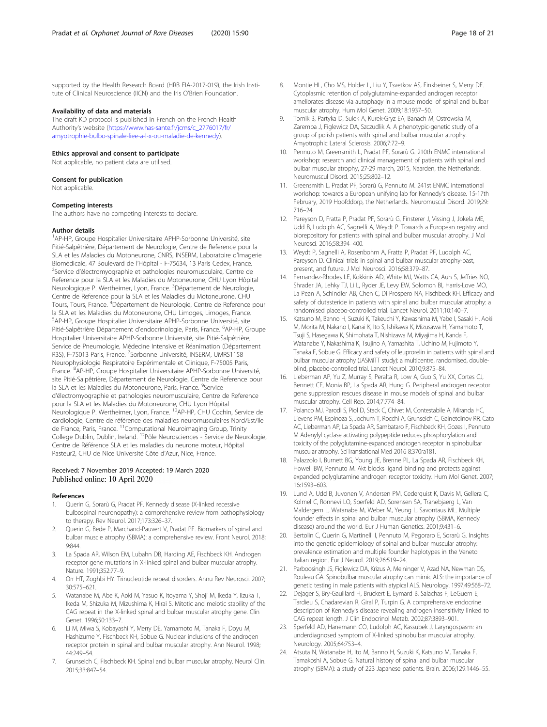<span id="page-17-0"></span>supported by the Health Research Board (HRB EIA-2017-019), the Irish Institute of Clinical Neuroscience (IICN) and the Iris O'Brien Foundation.

#### Availability of data and materials

The draft KD protocol is published in French on the French Health Authority's website [\(https://www.has-sante.fr/jcms/c\\_2776017/fr/](https://www.has-sante.fr/jcms/c_2776017/fr/amyotrophie-bulbo-spinale-liee-a-l-x-ou-maladie-de-kennedy) [amyotrophie-bulbo-spinale-liee-a-l-x-ou-maladie-de-kennedy\)](https://www.has-sante.fr/jcms/c_2776017/fr/amyotrophie-bulbo-spinale-liee-a-l-x-ou-maladie-de-kennedy).

#### Ethics approval and consent to participate Not applicable, no patient data are utilised.

# Consent for publication

Not applicable.

#### Competing interests

The authors have no competing interests to declare.

#### Author details

<sup>1</sup>AP-HP, Groupe Hospitalier Universitaire APHP-Sorbonne Université, site Pitié-Salpêtrière, Département de Neurologie, Centre de Reference pour la SLA et les Maladies du Motoneurone, CNRS, INSERM, Laboratoire d'Imagerie Biomédicale, 47 Boulevard de l'Hôpital - F-75634, 13 Paris Cedex, France. <sup>2</sup> <sup>2</sup>Service d'électromyographie et pathologies neuromusculaire, Centre de Reference pour la SLA et les Maladies du Motoneurone, CHU Lyon Hôpital Neurologique P. Wertheimer, Lyon, France. <sup>3</sup>Département de Neurologie, Centre de Reference pour la SLA et les Maladies du Motoneurone, CHU Tours, Tours, France. <sup>4</sup>Département de Neurologie, Centre de Reference pour la SLA et les Maladies du Motoneurone, CHU Limoges, Limoges, France. 5 AP-HP, Groupe Hospitalier Universitaire APHP-Sorbonne Université, site Pitié-Salpêtrière Département d'endocrinologie, Paris, France. <sup>6</sup>AP-HP, Groupe Hospitalier Universitaire APHP-Sorbonne Université, site Pitié-Salpêtrière, Service de Pneumologie, Médecine Intensive et Réanimation (Département R3S), F-75013 Paris, France. 7Sorbonne Université, INSERM, UMRS1158 Neurophysiologie Respiratoire Expérimentale et Clinique, F-75005 Paris, France. <sup>8</sup>AP-HP, Groupe Hospitalier Universitaire APHP-Sorbonne Université, site Pitié-Salpêtrière, Département de Neurologie, Centre de Reference pour la SLA et les Maladies du Motoneurone, Paris, France. <sup>9</sup>Service d'électromyographie et pathologies neuromusculaire, Centre de Reference pour la SLA et les Maladies du Motoneurone, CHU Lyon Hôpital Neurologique P. Wertheimer, Lyon, France. <sup>10</sup>AP-HP, CHU Cochin, Service de cardiologie, Centre de référence des maladies neuromusculaires Nord/Est/Ile de France, Paris, France. <sup>11</sup>Computational Neuroimaging Group, Trinity College Dublin, Dublin, Ireland. 12Pôle Neurosciences - Service de Neurologie, Centre de Référence SLA et les maladies du neurone moteur, Hôpital Pasteur2, CHU de Nice Université Côte d'Azur, Nice, France.

#### Received: 7 November 2019 Accepted: 19 March 2020 Published online: 10 April 2020

#### References

- 1. Querin G, Sorarù G, Pradat PF. Kennedy disease (X-linked recessive bulbospinal neuronopathy): a comprehensive review from pathophysiology to therapy. Rev Neurol. 2017;173:326–37.
- 2. Querin G, Bede P, Marchand-Pauvert V, Pradat PF. Biomarkers of spinal and bulbar muscle atrophy (SBMA): a comprehensive review. Front Neurol. 2018; 9:844.
- 3. La Spada AR, Wilson EM, Lubahn DB, Harding AE, Fischbeck KH. Androgen receptor gene mutations in X-linked spinal and bulbar muscular atrophy. Nature. 1991;352:77–9.
- 4. Orr HT, Zoghbi HY. Trinucleotide repeat disorders. Annu Rev Neurosci. 2007; 30:575–621.
- 5. Watanabe M, Abe K, Aoki M, Yasuo K, Itoyama Y, Shoji M, Ikeda Y, Iizuka T, Ikeda M, Shizuka M, Mizushima K, Hirai S. Mitotic and meiotic stability of the CAG repeat in the X-linked spinal and bulbar muscular atrophy gene. Clin Genet. 1996;50:133–7.
- 6. Li M, Miwa S, Kobayashi Y, Merry DE, Yamamoto M, Tanaka F, Doyu M, Hashizume Y, Fischbeck KH, Sobue G. Nuclear inclusions of the androgen receptor protein in spinal and bulbar muscular atrophy. Ann Neurol. 1998; 44:249–54.
- 7. Grunseich C, Fischbeck KH. Spinal and bulbar muscular atrophy. Neurol Clin. 2015;33:847–54.
- 8. Montie HL, Cho MS, Holder L, Liu Y, Tsvetkov AS, Finkbeiner S, Merry DE. Cytoplasmic retention of polyglutamine-expanded androgen receptor ameliorates disease via autophagy in a mouse model of spinal and bulbar muscular atrophy. Hum Mol Genet. 2009;18:1937–50.
- 9. Tomik B, Partyka D, Sulek A, Kurek-Gryz EA, Banach M, Ostrowska M, Zaremba J, Figlewicz DA, Szczudlik A. A phenotypic-genetic study of a group of polish patients with spinal and bulbar muscular atrophy. Amyotrophic Lateral Sclerosis. 2006;7:72–9.
- 10. Pennuto M, Greensmith L, Pradat PF, Sorarù G. 210th ENMC international workshop: research and clinical management of patients with spinal and bulbar muscular atrophy, 27-29 march, 2015, Naarden, the Netherlands. Neuromuscul Disord. 2015;25:802–12.
- 11. Greensmith L, Pradat PF, Sorarù G, Pennuto M. 241st ENMC international workshop: towards a European unifying lab for Kennedy's disease. 15-17th February, 2019 Hoofddorp, the Netherlands. Neuromuscul Disord. 2019;29: 716–24.
- 12. Pareyson D, Fratta P, Pradat PF, Sorarù G, Finsterer J, Vissing J, Jokela ME, Udd B, Ludolph AC, Sagnelli A, Weydt P. Towards a European registry and biorepository for patients with spinal and bulbar muscular atrophy. J Mol Neurosci. 2016;58:394–400.
- 13. Weydt P, Sagnelli A, Rosenbohm A, Fratta P, Pradat PF, Ludolph AC, Pareyson D. Clinical trials in spinal and bulbar muscular atrophy-past, present, and future. J Mol Neurosci. 2016;58:379–87.
- 14. Fernandez-Rhodes LE, Kokkinis AD, White MJ, Watts CA, Auh S, Jeffries NO, Shrader JA, Lehky TJ, Li L, Ryder JE, Levy EW, Solomon BI, Harris-Love MO, La Pean A, Schindler AB, Chen C, Di Prospero NA, Fischbeck KH. Efficacy and safety of dutasteride in patients with spinal and bulbar muscular atrophy: a randomised placebo-controlled trial. Lancet Neurol. 2011;10:140–7.
- 15. Katsuno M, Banno H, Suzuki K, Takeuchi Y, Kawashima M, Yabe I, Sasaki H, Aoki M, Morita M, Nakano I, Kanai K, Ito S, Ishikawa K, Mizusawa H, Yamamoto T, Tsuji S, Hasegawa K, Shimohata T, Nishizawa M, Miyajima H, Kanda F, Watanabe Y, Nakashima K, Tsujino A, Yamashita T, Uchino M, Fujimoto Y, Tanaka F, Sobue G. Efficacy and safety of leuprorelin in patients with spinal and bulbar muscular atrophy (JASMITT study): a multicentre, randomised, doubleblind, placebo-controlled trial. Lancet Neurol. 2010;9:875–84.
- 16. Lieberman AP, Yu Z, Murray S, Peralta R, Low A, Guo S, Yu XX, Cortes CJ, Bennett CF, Monia BP, La Spada AR, Hung G. Peripheral androgen receptor gene suppression rescues disease in mouse models of spinal and bulbar muscular atrophy. Cell Rep. 2014;7:774–84.
- 17. Polanco MJ, Parodi S, Piol D, Stack C, Chivet M, Contestabile A, Miranda HC, Lievens PM, Espinoza S, Jochum T, Rocchi A, Grunseich C, Gainetdinov RR, Cato AC, Lieberman AP, La Spada AR, Sambataro F, Fischbeck KH, Gozes I, Pennuto M Adenylyl cyclase activating polypeptide reduces phosphorylation and toxicity of the polyglutamine-expanded androgen receptor in spinobulbar muscular atrophy. SciTranslational Med 2016 8:370ra181.
- 18. Palazzolo I, Burnett BG, Young JE, Brenne PL, La Spada AR, Fischbeck KH, Howell BW, Pennuto M. Akt blocks ligand binding and protects against expanded polyglutamine androgen receptor toxicity. Hum Mol Genet. 2007; 16:1593–603.
- 19. Lund A, Udd B, Juvonen V, Andersen PM, Cederquist K, Davis M, Gellera C, Kolmel C, Ronnevi LO, Sperfeld AD, Sorensen SA, Tranebjaerg L, Van Maldergem L, Watanabe M, Weber M, Yeung L, Savontaus ML. Multiple founder effects in spinal and bulbar muscular atrophy (SBMA, Kennedy disease) around the world. Eur J Human Genetics. 2001;9:431–6.
- 20. Bertolin C, Querin G, Martinelli I, Pennuto M, Pegoraro E, Sorarù G. Insights into the genetic epidemiology of spinal and bulbar muscular atrophy: prevalence estimation and multiple founder haplotypes in the Veneto Italian region. Eur J Neurol. 2019;26:519–24.
- 21. Parboosingh JS, Figlewicz DA, Krizus A, Meininger V, Azad NA, Newman DS, Rouleau GA. Spinobulbar muscular atrophy can mimic ALS: the importance of genetic testing in male patients with atypical ALS. Neurology. 1997;49:568–72.
- 22. Dejager S, Bry-Gauillard H, Bruckert E, Eymard B, Salachas F, LeGuern E, Tardieu S, Chadarevian R, Giral P, Turpin G. A comprehensive endocrine description of Kennedy's disease revealing androgen insensitivity linked to CAG repeat length. J Clin Endocrinol Metab. 2002;87:3893–901.
- 23. Sperfeld AD, Hanemann CO, Ludolph AC, Kassubek J. Laryngospasm: an underdiagnosed symptom of X-linked spinobulbar muscular atrophy. Neurology. 2005;64:753–4.
- 24. Atsuta N, Watanabe H, Ito M, Banno H, Suzuki K, Katsuno M, Tanaka F, Tamakoshi A, Sobue G. Natural history of spinal and bulbar muscular atrophy (SBMA): a study of 223 Japanese patients. Brain. 2006;129:1446–55.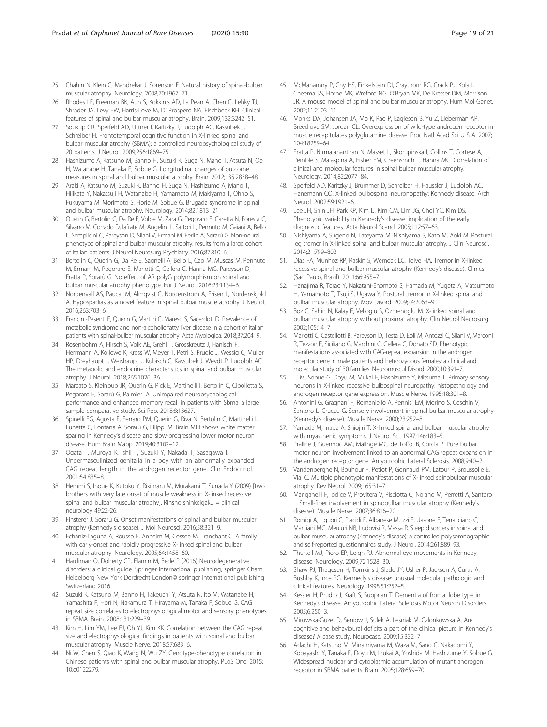- <span id="page-18-0"></span>25. Chahin N, Klein C, Mandrekar J, Sorenson E. Natural history of spinal-bulbar muscular atrophy. Neurology. 2008;70:1967–71.
- 26. Rhodes LE, Freeman BK, Auh S, Kokkinis AD, La Pean A, Chen C, Lehky TJ, Shrader JA, Levy EW, Harris-Love M, Di Prospero NA, Fischbeck KH. Clinical features of spinal and bulbar muscular atrophy. Brain. 2009;132:3242–51.
- 27. Soukup GR, Sperfeld AD, Uttner I, Karitzky J, Ludolph AC, Kassubek J, Schreiber H. Frontotemporal cognitive function in X-linked spinal and bulbar muscular atrophy (SBMA): a controlled neuropsychological study of 20 patients. J Neurol. 2009;256:1869–75.
- 28. Hashizume A, Katsuno M, Banno H, Suzuki K, Suga N, Mano T, Atsuta N, Oe H, Watanabe H, Tanaka F, Sobue G. Longitudinal changes of outcome measures in spinal and bulbar muscular atrophy. Brain. 2012;135:2838–48.
- 29. Araki A, Katsuno M, Suzuki K, Banno H, Suga N, Hashizume A, Mano T, Hijikata Y, Nakatsuji H, Watanabe H, Yamamoto M, Makiyama T, Ohno S, Fukuyama M, Morimoto S, Horie M, Sobue G. Brugada syndrome in spinal and bulbar muscular atrophy. Neurology. 2014;82:1813–21.
- 30. Querin G, Bertolin C, Da Re E, Volpe M, Zara G, Pegoraro E, Caretta N, Foresta C, Silvano M, Corrado D, Iafrate M, Angelini L, Sartori L, Pennuto M, Gaiani A, Bello L, Semplicini C, Pareyson D, Silani V, Ermani M, Ferlin A, Sorarù G. Non-neural phenotype of spinal and bulbar muscular atrophy: results from a large cohort of Italian patients. J Neurol Neurosurg Psychiatry. 2016;87:810–6.
- 31. Bertolin C, Querin G, Da Re E, Sagnelli A, Bello L, Cao M, Muscas M, Pennuto M, Ermani M, Pegoraro E, Mariotti C, Gellera C, Hanna MG, Pareyson D, Fratta P, Sorarù G. No effect of AR polyG polymorphism on spinal and bulbar muscular atrophy phenotype. Eur J Neurol. 2016;23:1134–6.
- 32. Nordenvall AS, Paucar M, Almqvist C, Nordenstrom A, Frisen L, Nordenskjold A. Hypospadias as a novel feature in spinal bulbar muscle atrophy. J Neurol. 2016;263:703–6.
- 33. Francini-Pesenti F, Querin G, Martini C, Mareso S, Sacerdoti D. Prevalence of metabolic syndrome and non-alcoholic fatty liver disease in a cohort of italian patients with spinal-bulbar muscular atrophy. Acta Myologica. 2018;37:204–9.
- 34. Rosenbohm A, Hirsch S, Volk AE, Grehl T, Grosskreutz J, Hanisch F, Herrmann A, Kollewe K, Kress W, Meyer T, Petri S, Prudlo J, Wessig C, Muller HP, Dreyhaupt J, Weishaupt J, Kubisch C, Kassubek J, Weydt P, Ludolph AC. The metabolic and endocrine characteristics in spinal and bulbar muscular atrophy. J Neurol. 2018;265:1026–36.
- 35. Marcato S, Kleinbub JR, Querin G, Pick E, Martinelli I, Bertolin C, Cipolletta S, Pegoraro E, Sorarù G, Palmieri A. Unimpaired neuropsychological performance and enhanced memory recall in patients with Sbma: a large sample comparative study. Sci Rep. 2018;8:13627.
- 36. Spinelli EG, Agosta F, Ferraro PM, Querin G, Riva N, Bertolin C, Martinelli I, Lunetta C, Fontana A, Sorarù G, Filippi M. Brain MRI shows white matter sparing in Kennedy's disease and slow-progressing lower motor neuron disease. Hum Brain Mapp. 2019;40:3102–12.
- 37. Ogata T, Muroya K, Ishii T, Suzuki Y, Nakada T, Sasagawa I. Undermasculinized genitalia in a boy with an abnormally expanded CAG repeat length in the androgen receptor gene. Clin Endocrinol. 2001;54:835–8.
- 38. Hemmi S, Inoue K, Kutoku Y, Rikimaru M, Murakami T, Sunada Y (2009) [two brothers with very late onset of muscle weakness in X-linked recessive spinal and bulbar muscular atrophy]. Rinsho shinkeigaku = clinical neurology 49:22-26.
- 39. Finsterer J, Sorarù G. Onset manifestations of spinal and bulbar muscular atrophy (Kennedy's disease). J Mol Neurosci. 2016;58:321–9.
- 40. Echaniz-Laguna A, Rousso E, Anheim M, Cossee M, Tranchant C. A family with early-onset and rapidly progressive X-linked spinal and bulbar muscular atrophy. Neurology. 2005;64:1458–60.
- 41. Hardiman O, Doherty CP, Elamin M, Bede P (2016) Neurodegenerative disorders: a clinical guide. Springer international publishing, springer Cham Heidelberg New York Dordrecht London© springer international publishing Switzerland 2016.
- 42. Suzuki K, Katsuno M, Banno H, Takeuchi Y, Atsuta N, Ito M, Watanabe H, Yamashita F, Hori N, Nakamura T, Hirayama M, Tanaka F, Sobue G. CAG repeat size correlates to electrophysiological motor and sensory phenotypes in SBMA. Brain. 2008;131:229–39.
- 43. Kim H, Lim YM, Lee EJ, Oh YJ, Kim KK. Correlation between the CAG repeat size and electrophysiological findings in patients with spinal and bulbar muscular atrophy. Muscle Nerve. 2018;57:683–6.
- 44. Ni W, Chen S, Qiao K, Wang N, Wu ZY. Genotype-phenotype correlation in Chinese patients with spinal and bulbar muscular atrophy. PLoS One. 2015; 10:e0122279.
- 45. McManamny P, Chy HS, Finkelstein DI, Craythorn RG, Crack PJ, Kola I, Cheema SS, Horne MK, Wreford NG, O'Bryan MK, De Kretser DM, Morrison JR. A mouse model of spinal and bulbar muscular atrophy. Hum Mol Genet. 2002;11:2103–11.
- 46. Monks DA, Johansen JA, Mo K, Rao P, Eagleson B, Yu Z, Lieberman AP, Breedlove SM, Jordan CL. Overexpression of wild-type androgen receptor in muscle recapitulates polyglutamine disease. Proc Natl Acad Sci U S A. 2007; 104:18259–64.
- 47. Fratta P, Nirmalananthan N, Masset L, Skorupinska I, Collins T, Cortese A, Pemble S, Malaspina A, Fisher EM, Greensmith L, Hanna MG. Correlation of clinical and molecular features in spinal bulbar muscular atrophy. Neurology. 2014;82:2077–84.
- 48. Sperfeld AD, Karitzky J, Brummer D, Schreiber H, Haussler J, Ludolph AC, Hanemann CO. X-linked bulbospinal neuronopathy: Kennedy disease. Arch Neurol. 2002;59:1921–6.
- 49. Lee JH, Shin JH, Park KP, Kim IJ, Kim CM, Lim JG, Choi YC, Kim DS. Phenotypic variability in Kennedy's disease: implication of the early diagnostic features. Acta Neurol Scand. 2005;112:57–63.
- 50. Nishiyama A, Sugeno N, Tateyama M, Nishiyama S, Kato M, Aoki M. Postural leg tremor in X-linked spinal and bulbar muscular atrophy. J Clin Neurosci. 2014;21:799–802.
- 51. Dias FA, Munhoz RP, Raskin S, Werneck LC, Teive HA. Tremor in X-linked recessive spinal and bulbar muscular atrophy (Kennedy's disease). Clinics (Sao Paulo, Brazil). 2011;66:955–7.
- 52. Hanajima R, Terao Y, Nakatani-Enomoto S, Hamada M, Yugeta A, Matsumoto H, Yamamoto T, Tsuji S, Ugawa Y. Postural tremor in X-linked spinal and bulbar muscular atrophy. Mov Disord. 2009;24:2063–9.
- 53. Boz C, Sahin N, Kalay E, Velioglu S, Ozmenoglu M. X-linked spinal and bulbar muscular atrophy without proximal atrophy. Clin Neurol Neurosurg. 2002;105:14–7.
- 54. Mariotti C, Castellotti B, Pareyson D, Testa D, Eoli M, Antozzi C, Silani V, Marconi R, Tezzon F, Siciliano G, Marchini C, Gellera C, Donato SD. Phenotypic manifestations associated with CAG-repeat expansion in the androgen receptor gene in male patients and heterozygous females: a clinical and molecular study of 30 families. Neuromuscul Disord. 2000;10:391–7.
- 55. Li M, Sobue G, Doyu M, Mukai E, Hashizume Y, Mitsuma T. Primary sensory neurons in X-linked recessive bulbospinal neuropathy: histopathology and androgen receptor gene expression. Muscle Nerve. 1995;18:301–8.
- 56. Antonini G, Gragnani F, Romaniello A, Pennisi EM, Morino S, Ceschin V, Santoro L, Cruccu G. Sensory involvement in spinal-bulbar muscular atrophy (Kennedy's disease). Muscle Nerve. 2000;23:252–8.
- 57. Yamada M, Inaba A, Shiojiri T. X-linked spinal and bulbar muscular atrophy with myasthenic symptoms. J Neurol Sci. 1997;146:183–5.
- 58. Praline J, Guennoc AM, Malinge MC, de Toffol B, Corcia P. Pure bulbar motor neuron involvement linked to an abnormal CAG repeat expansion in the androgen receptor gene. Amyotrophic Lateral Sclerosis. 2008;9:40–2.
- 59. Vandenberghe N, Bouhour F, Petiot P, Gonnaud PM, Latour P, Broussolle E, Vial C. Multiple phenotypic manifestations of X-linked spinobulbar muscular atrophy. Rev Neurol. 2009;165:31–7.
- 60. Manganelli F, Iodice V, Provitera V, Pisciotta C, Nolano M, Perretti A, Santoro L. Small-fiber involvement in spinobulbar muscular atrophy (Kennedy's disease). Muscle Nerve. 2007;36:816–20.
- 61. Romigi A, Liguori C, Placidi F, Albanese M, Izzi F, Uasone E, Terracciano C, Marciani MG, Mercuri NB, Ludovisi R, Massa R. Sleep disorders in spinal and bulbar muscular atrophy (Kennedy's disease): a controlled polysomnographic and self-reported questionnaires study. J Neurol. 2014;261:889–93.
- 62. Thurtell MJ, Pioro EP, Leigh RJ. Abnormal eye movements in Kennedy disease. Neurology. 2009;72:1528–30.
- 63. Shaw PJ, Thagesen H, Tomkins J, Slade JY, Usher P, Jackson A, Curtis A, Bushby K, Ince PG. Kennedy's disease: unusual molecular pathologic and clinical features. Neurology. 1998;51:252–5.
- 64. Kessler H, Prudlo J, Kraft S, Supprian T. Dementia of frontal lobe type in Kennedy's disease. Amyotrophic Lateral Sclerosis Motor Neuron Disorders. 2005;6:250–3.
- 65. Mirowska-Guzel D, Seniow J, Sulek A, Lesniak M, Czlonkowska A. Are cognitive and behavioural deficits a part of the clinical picture in Kennedy's disease? A case study. Neurocase. 2009;15:332–7.
- 66. Adachi H, Katsuno M, Minamiyama M, Waza M, Sang C, Nakagomi Y, Kobayashi Y, Tanaka F, Doyu M, Inukai A, Yoshida M, Hashizume Y, Sobue G. Widespread nuclear and cytoplasmic accumulation of mutant androgen receptor in SBMA patients. Brain. 2005;128:659–70.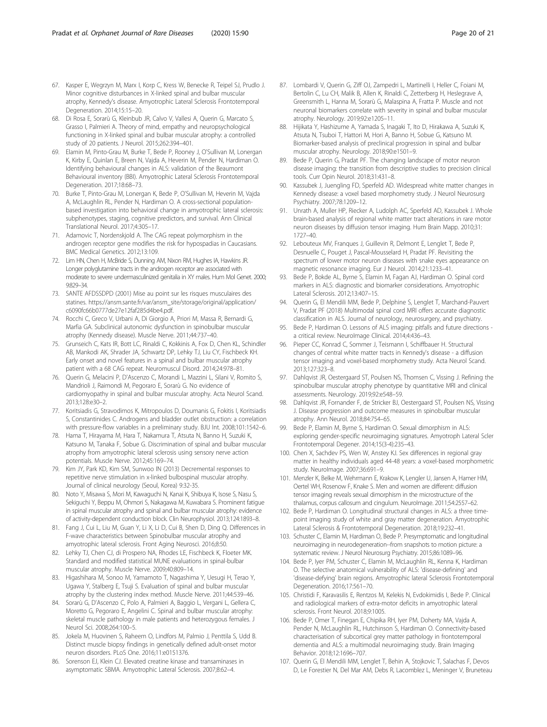- <span id="page-19-0"></span>67. Kasper E, Wegrzyn M, Marx I, Korp C, Kress W, Benecke R, Teipel SJ, Prudlo J. Minor cognitive disturbances in X-linked spinal and bulbar muscular atrophy, Kennedy's disease. Amyotrophic Lateral Sclerosis Frontotemporal Degeneration. 2014;15:15–20.
- 68. Di Rosa E, Sorarù G, Kleinbub JR, Calvo V, Vallesi A, Querin G, Marcato S, Grasso I, Palmieri A. Theory of mind, empathy and neuropsychological functioning in X-linked spinal and bulbar muscular atrophy: a controlled study of 20 patients. J Neurol. 2015;262:394–401.
- 69. Elamin M, Pinto-Grau M, Burke T, Bede P, Rooney J, O'Sullivan M, Lonergan K, Kirby E, Quinlan E, Breen N, Vajda A, Heverin M, Pender N, Hardiman O. Identifying behavioural changes in ALS: validation of the Beaumont Behavioural inventory (BBI). Amyotrophic Lateral Sclerosis Frontotemporal Degeneration. 2017;18:68–73.
- 70. Burke T, Pinto-Grau M, Lonergan K, Bede P, O'Sullivan M, Heverin M, Vajda A, McLaughlin RL, Pender N, Hardiman O. A cross-sectional populationbased investigation into behavioral change in amyotrophic lateral sclerosis: subphenotypes, staging, cognitive predictors, and survival. Ann Clinical Translational Neurol. 2017;4:305–17.
- 71. Adamovic T, Nordenskjold A. The CAG repeat polymorphism in the androgen receptor gene modifies the risk for hypospadias in Caucasians. BMC Medical Genetics. 2012;13:109.
- 72. Lim HN, Chen H, McBride S, Dunning AM, Nixon RM, Hughes IA, Hawkins JR. Longer polyglutamine tracts in the androgen receptor are associated with moderate to severe undermasculinized genitalia in XY males. Hum Mol Genet. 2000; 9:829–34.
- 73. SANTE AFDSSDPD (2001) Mise au point sur les risques musculaires des statines. https://ansm.sante.fr/var/ansm\_site/storage/original/application/ c6090fc66b0777de27e12faf285d4be4.pdf.
- 74. Rocchi C, Greco V, Urbani A, Di Giorgio A, Priori M, Massa R, Bernardi G, Marfia GA. Subclinical autonomic dysfunction in spinobulbar muscular atrophy (Kennedy disease). Muscle Nerve. 2011;44:737–40.
- 75. Grunseich C, Kats IR, Bott LC, Rinaldi C, Kokkinis A, Fox D, Chen KL, Schindler AB, Mankodi AK, Shrader JA, Schwartz DP, Lehky TJ, Liu CY, Fischbeck KH. Early onset and novel features in a spinal and bulbar muscular atrophy patient with a 68 CAG repeat. Neuromuscul Disord. 2014;24:978–81.
- 76. Querin G, Melacini P, D'Ascenzo C, Morandi L, Mazzini L, Silani V, Romito S, Mandrioli J, Raimondi M, Pegoraro E, Sorarù G. No evidence of cardiomyopathy in spinal and bulbar muscular atrophy. Acta Neurol Scand. 2013;128:e30–2.
- 77. Koritsiadis G, Stravodimos K, Mitropoulos D, Doumanis G, Fokitis I, Koritsiadis S, Constantinides C. Androgens and bladder outlet obstruction: a correlation with pressure-flow variables in a preliminary study. BJU Int. 2008;101:1542–6.
- 78. Hama T, Hirayama M, Hara T, Nakamura T, Atsuta N, Banno H, Suzuki K, Katsuno M, Tanaka F, Sobue G. Discrimination of spinal and bulbar muscular atrophy from amyotrophic lateral sclerosis using sensory nerve action potentials. Muscle Nerve. 2012;45:169–74.
- 79. Kim JY, Park KD, Kim SM, Sunwoo IN (2013) Decremental responses to repetitive nerve stimulation in x-linked bulbospinal muscular atrophy. Journal of clinical neurology (Seoul, Korea) 9:32-35.
- 80. Noto Y, Misawa S, Mori M, Kawaguchi N, Kanai K, Shibuya K, Isose S, Nasu S, Sekiguchi Y, Beppu M, Ohmori S, Nakagawa M, Kuwabara S. Prominent fatigue in spinal muscular atrophy and spinal and bulbar muscular atrophy: evidence of activity-dependent conduction block. Clin Neurophysiol. 2013;124:1893–8.
- 81. Fang J, Cui L, Liu M, Guan Y, Li X, Li D, Cui B, Shen D, Ding Q. Differences in F-wave characteristics between Spinobulbar muscular atrophy and amyotrophic lateral sclerosis. Front Aging Neurosci. 2016;8:50.
- 82. Lehky TJ, Chen CJ, di Prospero NA, Rhodes LE, Fischbeck K, Floeter MK. Standard and modified statistical MUNE evaluations in spinal-bulbar muscular atrophy. Muscle Nerve. 2009;40:809–14.
- 83. Higashihara M, Sonoo M, Yamamoto T, Nagashima Y, Uesugi H, Terao Y, Ugawa Y, Stalberg E, Tsuji S. Evaluation of spinal and bulbar muscular atrophy by the clustering index method. Muscle Nerve. 2011;44:539–46.
- 84. Sorarù G, D'Ascenzo C, Polo A, Palmieri A, Baggio L, Vergani L, Gellera C, Moretto G, Pegoraro E, Angelini C. Spinal and bulbar muscular atrophy: skeletal muscle pathology in male patients and heterozygous females. J Neurol Sci. 2008;264:100–5.
- 85. Jokela M, Huovinen S, Raheem O, Lindfors M, Palmio J, Penttila S, Udd B. Distinct muscle biopsy findings in genetically defined adult-onset motor neuron disorders. PLoS One. 2016;11:e0151376.
- 86. Sorenson EJ, Klein CJ. Elevated creatine kinase and transaminases in asymptomatic SBMA. Amyotrophic Lateral Sclerosis. 2007;8:62–4.
- 87. Lombardi V, Querin G, Ziff OJ, Zampedri L, Martinelli I, Heller C, Foiani M, Bertolin C, Lu CH, Malik B, Allen K, Rinaldi C, Zetterberg H, Heslegrave A, Greensmith L, Hanna M, Sorarù G, Malaspina A, Fratta P. Muscle and not neuronal biomarkers correlate with severity in spinal and bulbar muscular atrophy. Neurology. 2019;92:e1205–11.
- 88. Hijikata Y, Hashizume A, Yamada S, Inagaki T, Ito D, Hirakawa A, Suzuki K, Atsuta N, Tsuboi T, Hattori M, Hori A, Banno H, Sobue G, Katsuno M. Biomarker-based analysis of preclinical progression in spinal and bulbar muscular atrophy. Neurology. 2018;90:e1501–9.
- 89. Bede P, Querin G, Pradat PF. The changing landscape of motor neuron disease imaging: the transition from descriptive studies to precision clinical tools. Curr Opin Neurol. 2018;31:431–8.
- 90. Kassubek J, Juengling FD, Sperfeld AD. Widespread white matter changes in Kennedy disease: a voxel based morphometry study. J Neurol Neurosurg Psychiatry. 2007;78:1209–12.
- 91. Unrath A, Muller HP, Riecker A, Ludolph AC, Sperfeld AD, Kassubek J. Whole brain-based analysis of regional white matter tract alterations in rare motor neuron diseases by diffusion tensor imaging. Hum Brain Mapp. 2010;31: 1727–40.
- 92. Lebouteux MV, Franques J, Guillevin R, Delmont E, Lenglet T, Bede P, Desnuelle C, Pouget J, Pascal-Mousselard H, Pradat PF. Revisiting the spectrum of lower motor neuron diseases with snake eyes appearance on magnetic resonance imaging. Eur J Neurol. 2014;21:1233–41.
- 93. Bede P, Bokde AL, Byrne S, Elamin M, Fagan AJ, Hardiman O. Spinal cord markers in ALS: diagnostic and biomarker considerations. Amyotrophic Lateral Sclerosis. 2012;13:407–15.
- 94. Querin G, El Mendili MM, Bede P, Delphine S, Lenglet T, Marchand-Pauvert V, Pradat PF (2018) Multimodal spinal cord MRI offers accurate diagnostic classification in ALS. Journal of neurology, neurosurgery, and psychiatry.
- 95. Bede P, Hardiman O. Lessons of ALS imaging: pitfalls and future directions a critical review. NeuroImage Clinical. 2014;4:436–43.
- 96. Pieper CC, Konrad C, Sommer J, Teismann I, Schiffbauer H. Structural changes of central white matter tracts in Kennedy's disease - a diffusion tensor imaging and voxel-based morphometry study. Acta Neurol Scand. 2013;127:323–8.
- 97. Dahlqvist JR, Oestergaard ST, Poulsen NS, Thomsen C, Vissing J. Refining the spinobulbar muscular atrophy phenotype by quantitative MRI and clinical assessments. Neurology. 2019;92:e548–59.
- 98. Dahlqvist JR, Fornander F, de Stricker BJ, Oestergaard ST, Poulsen NS, Vissing J. Disease progression and outcome measures in spinobulbar muscular atrophy. Ann Neurol. 2018;84:754–65.
- 99. Bede P, Elamin M, Byrne S, Hardiman O. Sexual dimorphism in ALS: exploring gender-specific neuroimaging signatures. Amyotroph Lateral Scler Frontotemporal Degener. 2014;15(3-4):235–43.
- 100. Chen X, Sachdev PS, Wen W, Anstey KJ. Sex differences in regional gray matter in healthy individuals aged 44-48 years: a voxel-based morphometric study. NeuroImage. 2007;36:691–9.
- 101. Menzler K, Belke M, Wehrmann E, Krakow K, Lengler U, Jansen A, Hamer HM, Oertel WH, Rosenow F, Knake S. Men and women are different: diffusion tensor imaging reveals sexual dimorphism in the microstructure of the thalamus, corpus callosum and cingulum. NeuroImage. 2011;54:2557–62.
- 102. Bede P, Hardiman O. Longitudinal structural changes in ALS: a three timepoint imaging study of white and gray matter degeneration. Amyotrophic Lateral Sclerosis & Frontotemporal Degeneration. 2018;19:232–41.
- 103. Schuster C, Elamin M, Hardiman O, Bede P. Presymptomatic and longitudinal neuroimaging in neurodegeneration--from snapshots to motion picture: a systematic review. J Neurol Neurosurg Psychiatry. 2015;86:1089–96.
- 104. Bede P, Iyer PM, Schuster C, Elamin M, McLaughlin RL, Kenna K, Hardiman O. The selective anatomical vulnerability of ALS: 'disease-defining' and 'disease-defying' brain regions. Amyotrophic lateral Sclerosis Frontotemporal Degeneration. 2016;17:561–70.
- 105. Christidi F, Karavasilis E, Rentzos M, Kelekis N, Evdokimidis I, Bede P. Clinical and radiological markers of extra-motor deficits in amyotrophic lateral sclerosis. Front Neurol. 2018;9:1005.
- 106. Bede P, Omer T, Finegan E, Chipika RH, Iyer PM, Doherty MA, Vajda A, Pender N, McLaughlin RL, Hutchinson S, Hardiman O. Connectivity-based characterisation of subcortical grey matter pathology in frontotemporal dementia and ALS: a multimodal neuroimaging study. Brain Imaging Behavior. 2018;12:1696–707.
- 107. Querin G, El Mendili MM, Lenglet T, Behin A, Stojkovic T, Salachas F, Devos D, Le Forestier N, Del Mar AM, Debs R, Lacomblez L, Meninger V, Bruneteau